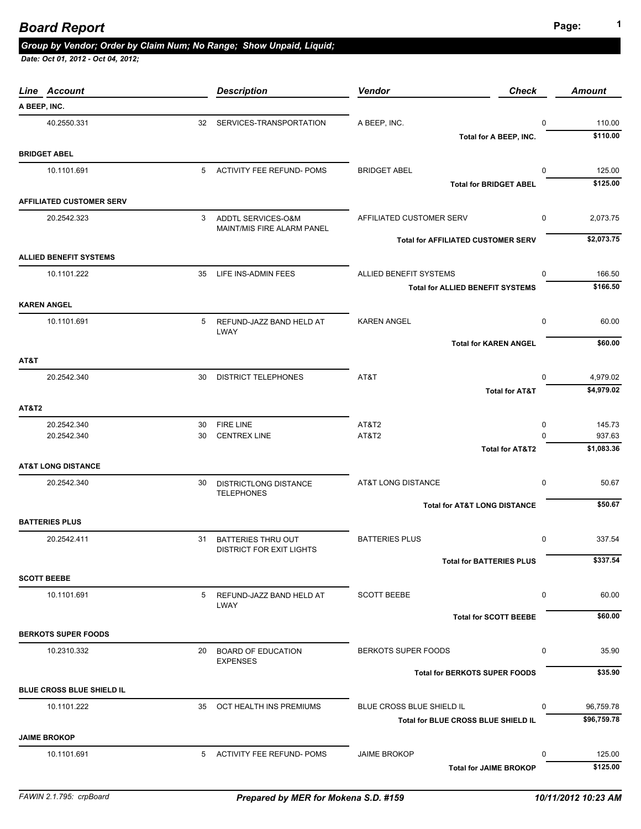| Line Account                     |          | <b>Description</b>                                           | Vendor<br><b>Check</b>                    | <b>Amount</b>               |
|----------------------------------|----------|--------------------------------------------------------------|-------------------------------------------|-----------------------------|
| A BEEP, INC.                     |          |                                                              |                                           |                             |
| 40.2550.331                      |          | 32 SERVICES-TRANSPORTATION                                   | A BEEP, INC.                              | $\mathbf 0$<br>110.00       |
|                                  |          |                                                              | Total for A BEEP, INC.                    | \$110.00                    |
| <b>BRIDGET ABEL</b>              |          |                                                              |                                           |                             |
| 10.1101.691                      |          | 5 ACTIVITY FEE REFUND- POMS                                  | <b>BRIDGET ABEL</b>                       | 125.00<br>0                 |
|                                  |          |                                                              | <b>Total for BRIDGET ABEL</b>             | \$125.00                    |
| <b>AFFILIATED CUSTOMER SERV</b>  |          |                                                              |                                           |                             |
| 20.2542.323                      | 3        | ADDTL SERVICES-O&M<br>MAINT/MIS FIRE ALARM PANEL             | AFFILIATED CUSTOMER SERV                  | 2,073.75<br>0               |
|                                  |          |                                                              | <b>Total for AFFILIATED CUSTOMER SERV</b> | \$2,073.75                  |
| <b>ALLIED BENEFIT SYSTEMS</b>    |          |                                                              |                                           |                             |
| 10.1101.222                      | 35       | LIFE INS-ADMIN FEES                                          | ALLIED BENEFIT SYSTEMS                    | 166.50<br>0                 |
|                                  |          |                                                              | <b>Total for ALLIED BENEFIT SYSTEMS</b>   | \$166.50                    |
| <b>KAREN ANGEL</b>               |          |                                                              |                                           |                             |
| 10.1101.691                      |          | 5 REFUND-JAZZ BAND HELD AT                                   | <b>KAREN ANGEL</b>                        | 0<br>60.00                  |
|                                  |          | LWAY                                                         |                                           |                             |
|                                  |          |                                                              | <b>Total for KAREN ANGEL</b>              | \$60.00                     |
| AT&T                             |          |                                                              |                                           |                             |
| 20.2542.340                      | 30       | <b>DISTRICT TELEPHONES</b>                                   | AT&T                                      | 0<br>4,979.02<br>\$4,979.02 |
|                                  |          |                                                              | <b>Total for AT&amp;T</b>                 |                             |
| <b>AT&amp;T2</b>                 |          |                                                              |                                           |                             |
| 20.2542.340<br>20.2542.340       | 30<br>30 | <b>FIRE LINE</b><br><b>CENTREX LINE</b>                      | AT&T2<br>AT&T2                            | 145.73<br>0<br>937.63<br>O  |
|                                  |          |                                                              | <b>Total for AT&amp;T2</b>                | \$1,083.36                  |
| <b>AT&amp;T LONG DISTANCE</b>    |          |                                                              |                                           |                             |
| 20.2542.340                      | 30       | <b>DISTRICTLONG DISTANCE</b>                                 | AT&T LONG DISTANCE                        | 50.67<br>0                  |
|                                  |          | <b>TELEPHONES</b>                                            |                                           |                             |
|                                  |          |                                                              | <b>Total for AT&amp;T LONG DISTANCE</b>   | \$50.67                     |
| <b>BATTERIES PLUS</b>            |          |                                                              |                                           |                             |
| 20.2542.411                      | 31       | <b>BATTERIES THRU OUT</b><br><b>DISTRICT FOR EXIT LIGHTS</b> | <b>BATTERIES PLUS</b>                     | $\mathbf 0$<br>337.54       |
|                                  |          |                                                              | <b>Total for BATTERIES PLUS</b>           | \$337.54                    |
| <b>SCOTT BEEBE</b>               |          |                                                              |                                           |                             |
| 10.1101.691                      | 5        | REFUND-JAZZ BAND HELD AT                                     | <b>SCOTT BEEBE</b>                        | 0<br>60.00                  |
|                                  |          | LWAY                                                         |                                           |                             |
|                                  |          |                                                              | <b>Total for SCOTT BEEBE</b>              | \$60.00                     |
| <b>BERKOTS SUPER FOODS</b>       |          |                                                              |                                           |                             |
| 10.2310.332                      | 20       | <b>BOARD OF EDUCATION</b><br><b>EXPENSES</b>                 | BERKOTS SUPER FOODS                       | 35.90<br>0                  |
|                                  |          |                                                              | <b>Total for BERKOTS SUPER FOODS</b>      | \$35.90                     |
| <b>BLUE CROSS BLUE SHIELD IL</b> |          |                                                              |                                           |                             |
| 10.1101.222                      |          | 35 OCT HEALTH INS PREMIUMS                                   | BLUE CROSS BLUE SHIELD IL                 | 96,759.78<br>0              |
|                                  |          |                                                              | Total for BLUE CROSS BLUE SHIELD IL       | \$96,759.78                 |
| <b>JAIME BROKOP</b>              |          |                                                              |                                           |                             |
| 10.1101.691                      |          | 5 ACTIVITY FEE REFUND- POMS                                  | <b>JAIME BROKOP</b>                       | $\Omega$<br>125.00          |
|                                  |          |                                                              | <b>Total for JAIME BROKOP</b>             | \$125.00                    |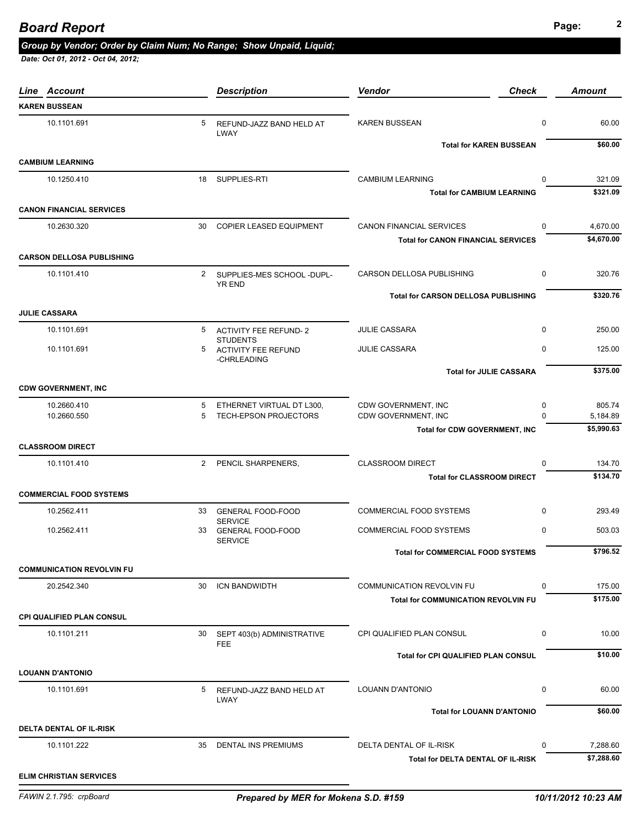# **Page: <sup>2</sup>** *Board Report*

# *Group by Vendor; Order by Claim Num; No Range; Show Unpaid, Liquid;*

| Line Account                     |                | <b>Description</b>                                           | <b>Vendor</b><br><b>Check</b>              |             | <b>Amount</b>      |
|----------------------------------|----------------|--------------------------------------------------------------|--------------------------------------------|-------------|--------------------|
| <b>KAREN BUSSEAN</b>             |                |                                                              |                                            |             |                    |
| 10.1101.691                      | 5              | REFUND-JAZZ BAND HELD AT                                     | <b>KAREN BUSSEAN</b>                       | $\mathbf 0$ | 60.00              |
|                                  |                | LWAY                                                         | <b>Total for KAREN BUSSEAN</b>             |             | \$60.00            |
| <b>CAMBIUM LEARNING</b>          |                |                                                              |                                            |             |                    |
| 10.1250.410                      |                | 18 SUPPLIES-RTI                                              | <b>CAMBIUM LEARNING</b>                    | $\mathbf 0$ | 321.09             |
|                                  |                |                                                              | <b>Total for CAMBIUM LEARNING</b>          |             | \$321.09           |
| <b>CANON FINANCIAL SERVICES</b>  |                |                                                              |                                            |             |                    |
| 10.2630.320                      | 30             | COPIER LEASED EQUIPMENT                                      | <b>CANON FINANCIAL SERVICES</b>            | $\mathbf 0$ | 4,670.00           |
|                                  |                |                                                              | <b>Total for CANON FINANCIAL SERVICES</b>  |             | \$4,670.00         |
| <b>CARSON DELLOSA PUBLISHING</b> |                |                                                              |                                            |             |                    |
| 10.1101.410                      |                | 2 SUPPLIES-MES SCHOOL -DUPL-<br><b>YR END</b>                | CARSON DELLOSA PUBLISHING                  | $\mathbf 0$ | 320.76             |
|                                  |                |                                                              | <b>Total for CARSON DELLOSA PUBLISHING</b> |             | \$320.76           |
| <b>JULIE CASSARA</b>             |                |                                                              |                                            |             |                    |
| 10.1101.691                      |                | 5 ACTIVITY FEE REFUND-2                                      | <b>JULIE CASSARA</b>                       | $\mathbf 0$ | 250.00             |
| 10.1101.691                      | 5              | <b>STUDENTS</b><br><b>ACTIVITY FEE REFUND</b><br>-CHRLEADING | <b>JULIE CASSARA</b>                       | $\mathbf 0$ | 125.00             |
|                                  |                |                                                              | <b>Total for JULIE CASSARA</b>             |             | \$375.00           |
| <b>CDW GOVERNMENT, INC</b>       |                |                                                              |                                            |             |                    |
| 10.2660.410                      | 5              | ETHERNET VIRTUAL DT L300,                                    | CDW GOVERNMENT, INC                        | 0           | 805.74             |
| 10.2660.550                      | 5              | <b>TECH-EPSON PROJECTORS</b>                                 | CDW GOVERNMENT, INC                        | $\Omega$    | 5,184.89           |
|                                  |                |                                                              | <b>Total for CDW GOVERNMENT, INC</b>       |             | \$5,990.63         |
| <b>CLASSROOM DIRECT</b>          |                |                                                              |                                            |             |                    |
| 10.1101.410                      | $\overline{2}$ | PENCIL SHARPENERS,                                           | <b>CLASSROOM DIRECT</b>                    | $\mathbf 0$ | 134.70<br>\$134.70 |
| <b>COMMERCIAL FOOD SYSTEMS</b>   |                |                                                              | <b>Total for CLASSROOM DIRECT</b>          |             |                    |
| 10.2562.411                      | 33             | <b>GENERAL FOOD-FOOD</b>                                     | COMMERCIAL FOOD SYSTEMS                    | 0           | 293.49             |
| 10.2562.411                      | 33             | <b>SERVICE</b><br><b>GENERAL FOOD-FOOD</b>                   | COMMERCIAL FOOD SYSTEMS                    | 0           | 503.03             |
|                                  |                | <b>SERVICE</b>                                               |                                            |             |                    |
|                                  |                |                                                              | Total for COMMERCIAL FOOD SYSTEMS          |             | \$796.52           |
| <b>COMMUNICATION REVOLVIN FU</b> |                |                                                              |                                            |             |                    |
| 20.2542.340                      | 30             | ICN BANDWIDTH                                                | <b>COMMUNICATION REVOLVIN FU</b>           | 0           | 175.00             |
|                                  |                |                                                              | <b>Total for COMMUNICATION REVOLVIN FU</b> |             | \$175.00           |
| <b>CPI QUALIFIED PLAN CONSUL</b> |                |                                                              |                                            |             |                    |
| 10.1101.211                      | 30             | SEPT 403(b) ADMINISTRATIVE<br><b>FEE</b>                     | CPI QUALIFIED PLAN CONSUL                  | 0           | 10.00              |
|                                  |                |                                                              | <b>Total for CPI QUALIFIED PLAN CONSUL</b> |             | \$10.00            |
| <b>LOUANN D'ANTONIO</b>          |                |                                                              |                                            |             |                    |
| 10.1101.691                      | 5              | REFUND-JAZZ BAND HELD AT<br><b>LWAY</b>                      | <b>LOUANN D'ANTONIO</b>                    | 0           | 60.00              |
|                                  |                |                                                              | <b>Total for LOUANN D'ANTONIO</b>          |             | \$60.00            |
| DELTA DENTAL OF IL-RISK          |                |                                                              |                                            |             |                    |
| 10.1101.222                      | 35             | <b>DENTAL INS PREMIUMS</b>                                   | DELTA DENTAL OF IL-RISK                    | 0           | 7,288.60           |
|                                  |                |                                                              | Total for DELTA DENTAL OF IL-RISK          |             | \$7,288.60         |
| <b>ELIM CHRISTIAN SERVICES</b>   |                |                                                              |                                            |             |                    |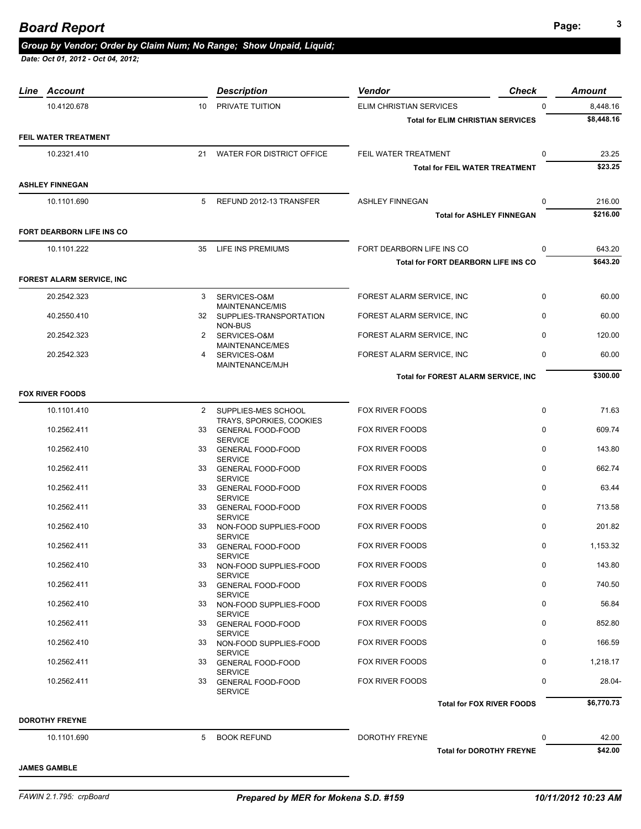*Date: Oct 01, 2012 - Oct 04, 2012;* 

| Line Account                     |                 | <b>Description</b>                                 | Vendor                                   | <b>Check</b> | <b>Amount</b> |
|----------------------------------|-----------------|----------------------------------------------------|------------------------------------------|--------------|---------------|
| 10.4120.678                      | 10 <sup>1</sup> | PRIVATE TUITION                                    | <b>ELIM CHRISTIAN SERVICES</b>           | $\Omega$     | 8,448.16      |
|                                  |                 |                                                    | <b>Total for ELIM CHRISTIAN SERVICES</b> |              | \$8,448.16    |
| FEIL WATER TREATMENT             |                 |                                                    |                                          |              |               |
| 10.2321.410                      |                 | 21 WATER FOR DISTRICT OFFICE                       | FEIL WATER TREATMENT                     | $\pmb{0}$    | 23.25         |
|                                  |                 |                                                    | <b>Total for FEIL WATER TREATMENT</b>    |              | \$23.25       |
| <b>ASHLEY FINNEGAN</b>           |                 |                                                    |                                          |              |               |
| 10.1101.690                      | 5               | REFUND 2012-13 TRANSFER                            | <b>ASHLEY FINNEGAN</b>                   | 0            | 216.00        |
|                                  |                 |                                                    | <b>Total for ASHLEY FINNEGAN</b>         |              | \$216.00      |
| FORT DEARBORN LIFE INS CO        |                 |                                                    |                                          |              |               |
| 10.1101.222                      | 35              | LIFE INS PREMIUMS                                  | FORT DEARBORN LIFE INS CO                | $\mathbf 0$  | 643.20        |
|                                  |                 |                                                    | Total for FORT DEARBORN LIFE INS CO      |              | \$643.20      |
| <b>FOREST ALARM SERVICE, INC</b> |                 |                                                    |                                          |              |               |
|                                  |                 |                                                    |                                          |              |               |
| 20.2542.323                      | 3               | SERVICES-O&M<br><b>MAINTENANCE/MIS</b>             | FOREST ALARM SERVICE, INC                | 0            | 60.00         |
| 40.2550.410                      |                 | 32 SUPPLIES-TRANSPORTATION                         | FOREST ALARM SERVICE, INC                | $\mathbf 0$  | 60.00         |
| 20.2542.323                      |                 | NON-BUS<br>2 SERVICES-O&M                          | FOREST ALARM SERVICE, INC                | $\mathbf 0$  | 120.00        |
| 20.2542.323                      | 4               | MAINTENANCE/MES<br>SERVICES-O&M<br>MAINTENANCE/MJH | FOREST ALARM SERVICE, INC                | $\mathbf 0$  | 60.00         |
|                                  |                 |                                                    | Total for FOREST ALARM SERVICE, INC      |              | \$300.00      |
| <b>FOX RIVER FOODS</b>           |                 |                                                    |                                          |              |               |
| 10.1101.410                      |                 | 2 SUPPLIES-MES SCHOOL                              | FOX RIVER FOODS                          | 0            | 71.63         |
|                                  |                 | TRAYS, SPORKIES, COOKIES                           |                                          |              |               |
| 10.2562.411                      |                 | 33 GENERAL FOOD-FOOD<br><b>SERVICE</b>             | <b>FOX RIVER FOODS</b>                   | 0            | 609.74        |
| 10.2562.410                      | 33              | <b>GENERAL FOOD-FOOD</b><br><b>SERVICE</b>         | FOX RIVER FOODS                          | $\pmb{0}$    | 143.80        |
| 10.2562.411                      |                 | 33 GENERAL FOOD-FOOD<br><b>SERVICE</b>             | FOX RIVER FOODS                          | 0            | 662.74        |
| 10.2562.411                      | 33              | <b>GENERAL FOOD-FOOD</b>                           | <b>FOX RIVER FOODS</b>                   | $\mathbf 0$  | 63.44         |
| 10.2562.411                      | 33              | <b>SERVICE</b><br><b>GENERAL FOOD-FOOD</b>         | FOX RIVER FOODS                          | 0            | 713.58        |
| 10.2562.410                      | 33              | <b>SERVICE</b><br>NON-FOOD SUPPLIES-FOOD           | FOX RIVER FOODS                          | 0            | 201.82        |
| 10.2562.411                      | 33              | <b>SERVICE</b><br><b>GENERAL FOOD-FOOD</b>         | FOX RIVER FOODS                          | 0            | 1,153.32      |
|                                  |                 | <b>SERVICE</b>                                     | FOX RIVER FOODS                          | 0            |               |
| 10.2562.410                      | 33              | NON-FOOD SUPPLIES-FOOD<br><b>SERVICE</b>           |                                          |              | 143.80        |
| 10.2562.411                      |                 | 33 GENERAL FOOD-FOOD<br><b>SERVICE</b>             | FOX RIVER FOODS                          | 0            | 740.50        |
| 10.2562.410                      | 33              | NON-FOOD SUPPLIES-FOOD                             | <b>FOX RIVER FOODS</b>                   | $\mathbf 0$  | 56.84         |
| 10.2562.411                      |                 | <b>SERVICE</b><br>33 GENERAL FOOD-FOOD             | FOX RIVER FOODS                          | 0            | 852.80        |
| 10.2562.410                      |                 | <b>SERVICE</b><br>33 NON-FOOD SUPPLIES-FOOD        | FOX RIVER FOODS                          | 0            | 166.59        |
|                                  |                 | <b>SERVICE</b>                                     |                                          | $\mathbf 0$  |               |
| 10.2562.411                      |                 | 33 GENERAL FOOD-FOOD<br><b>SERVICE</b>             | FOX RIVER FOODS                          |              | 1,218.17      |
| 10.2562.411                      |                 | 33 GENERAL FOOD-FOOD<br><b>SERVICE</b>             | FOX RIVER FOODS                          | 0            | 28.04-        |
|                                  |                 |                                                    | <b>Total for FOX RIVER FOODS</b>         |              | \$6,770.73    |
| <b>DOROTHY FREYNE</b>            |                 |                                                    |                                          |              |               |
| 10.1101.690                      | 5               | <b>BOOK REFUND</b>                                 | DOROTHY FREYNE                           | 0            | 42.00         |
|                                  |                 |                                                    | <b>Total for DOROTHY FREYNE</b>          |              | \$42.00       |

**JAMES GAMBLE**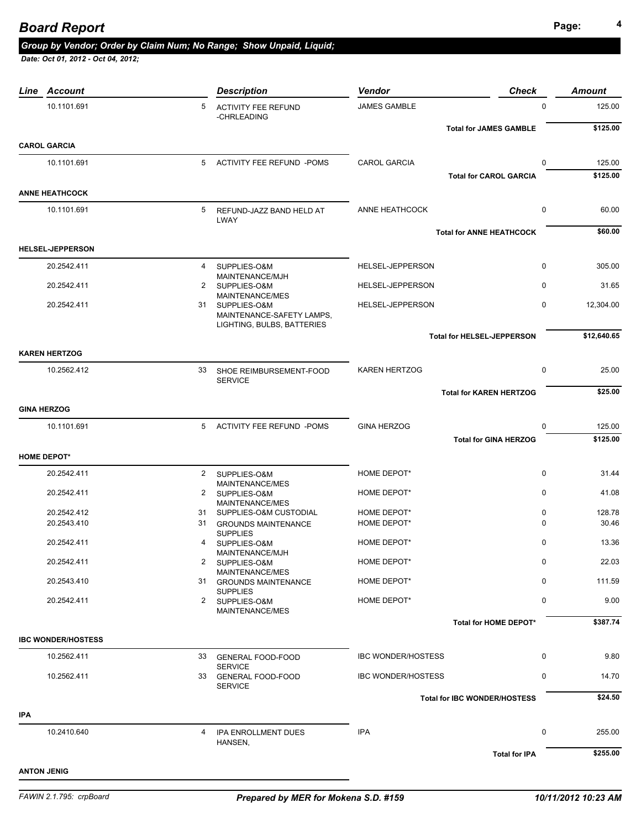|            | Line Account              |              | <b>Description</b>                                      | Vendor                    | <b>Check</b>                        | <b>Amount</b> |
|------------|---------------------------|--------------|---------------------------------------------------------|---------------------------|-------------------------------------|---------------|
|            | 10.1101.691               | 5            | <b>ACTIVITY FEE REFUND</b><br>-CHRLEADING               | <b>JAMES GAMBLE</b>       | $\Omega$                            | 125.00        |
|            |                           |              |                                                         |                           | <b>Total for JAMES GAMBLE</b>       | \$125.00      |
|            | <b>CAROL GARCIA</b>       |              |                                                         |                           |                                     |               |
|            | 10.1101.691               |              | 5 ACTIVITY FEE REFUND -POMS                             | <b>CAROL GARCIA</b>       | 0                                   | 125.00        |
|            |                           |              |                                                         |                           | <b>Total for CAROL GARCIA</b>       | \$125.00      |
|            | <b>ANNE HEATHCOCK</b>     |              |                                                         |                           |                                     |               |
|            | 10.1101.691               | 5            | REFUND-JAZZ BAND HELD AT<br><b>LWAY</b>                 | ANNE HEATHCOCK            | 0                                   | 60.00         |
|            |                           |              |                                                         |                           | <b>Total for ANNE HEATHCOCK</b>     | \$60.00       |
|            | <b>HELSEL-JEPPERSON</b>   |              |                                                         |                           |                                     |               |
|            | 20.2542.411               |              | 4 SUPPLIES-O&M<br>MAINTENANCE/MJH                       | HELSEL-JEPPERSON          | $\mathbf 0$                         | 305.00        |
|            | 20.2542.411               | 2            | SUPPLIES-O&M                                            | HELSEL-JEPPERSON          | $\mathbf 0$                         | 31.65         |
|            | 20.2542.411               |              | MAINTENANCE/MES<br>31 SUPPLIES-O&M                      | HELSEL-JEPPERSON          | $\mathbf 0$                         | 12,304.00     |
|            |                           |              | MAINTENANCE-SAFETY LAMPS,<br>LIGHTING, BULBS, BATTERIES |                           |                                     |               |
|            |                           |              |                                                         |                           | <b>Total for HELSEL-JEPPERSON</b>   | \$12,640.65   |
|            | <b>KAREN HERTZOG</b>      |              |                                                         |                           |                                     |               |
|            | 10.2562.412               | 33           | SHOE REIMBURSEMENT-FOOD<br><b>SERVICE</b>               | <b>KAREN HERTZOG</b>      | $\mathbf 0$                         | 25.00         |
|            |                           |              |                                                         |                           | <b>Total for KAREN HERTZOG</b>      | \$25.00       |
|            | <b>GINA HERZOG</b>        |              |                                                         |                           |                                     |               |
|            | 10.1101.691               |              | 5 ACTIVITY FEE REFUND -POMS                             | <b>GINA HERZOG</b>        | 0                                   | 125.00        |
|            |                           |              |                                                         |                           | <b>Total for GINA HERZOG</b>        | \$125.00      |
|            | <b>HOME DEPOT*</b>        |              |                                                         |                           |                                     |               |
|            | 20.2542.411               |              | 2 SUPPLIES-O&M                                          | HOME DEPOT*               | $\mathbf 0$                         | 31.44         |
|            | 20.2542.411               |              | MAINTENANCE/MES<br>2 SUPPLIES-O&M                       | HOME DEPOT*               | $\mathbf 0$                         | 41.08         |
|            | 20.2542.412               |              | MAINTENANCE/MES<br>31 SUPPLIES-O&M CUSTODIAL            | HOME DEPOT*               | 0                                   | 128.78        |
|            | 20.2543.410               |              | 31 GROUNDS MAINTENANCE                                  | HOME DEPOT*               | 0                                   | 30.46         |
|            | 20.2542.411               | 4            | <b>SUPPLIES</b><br>SUPPLIES-O&M                         | HOME DEPOT*               | $\mathbf 0$                         | 13.36         |
|            | 20.2542.411               | $\mathbf{2}$ | MAINTENANCE/MJH<br>SUPPLIES-O&M                         | HOME DEPOT*               | 0                                   | 22.03         |
|            |                           |              | MAINTENANCE/MES                                         |                           |                                     |               |
|            | 20.2543.410               |              | 31 GROUNDS MAINTENANCE                                  | HOME DEPOT*               | 0                                   | 111.59        |
|            | 20.2542.411               | 2            | <b>SUPPLIES</b><br>SUPPLIES-O&M                         | HOME DEPOT*               | 0                                   | 9.00          |
|            |                           |              | <b>MAINTENANCE/MES</b>                                  |                           | Total for HOME DEPOT*               | \$387.74      |
|            | <b>IBC WONDER/HOSTESS</b> |              |                                                         |                           |                                     |               |
|            | 10.2562.411               |              |                                                         | <b>IBC WONDER/HOSTESS</b> | 0                                   | 9.80          |
|            |                           |              | 33 GENERAL FOOD-FOOD<br><b>SERVICE</b>                  |                           |                                     |               |
|            | 10.2562.411               |              | 33 GENERAL FOOD-FOOD<br><b>SERVICE</b>                  | <b>IBC WONDER/HOSTESS</b> | 0                                   | 14.70         |
|            |                           |              |                                                         |                           | <b>Total for IBC WONDER/HOSTESS</b> | \$24.50       |
| <b>IPA</b> |                           |              |                                                         |                           |                                     |               |
|            | 10.2410.640               | 4            | IPA ENROLLMENT DUES<br>HANSEN,                          | <b>IPA</b>                | 0                                   | 255.00        |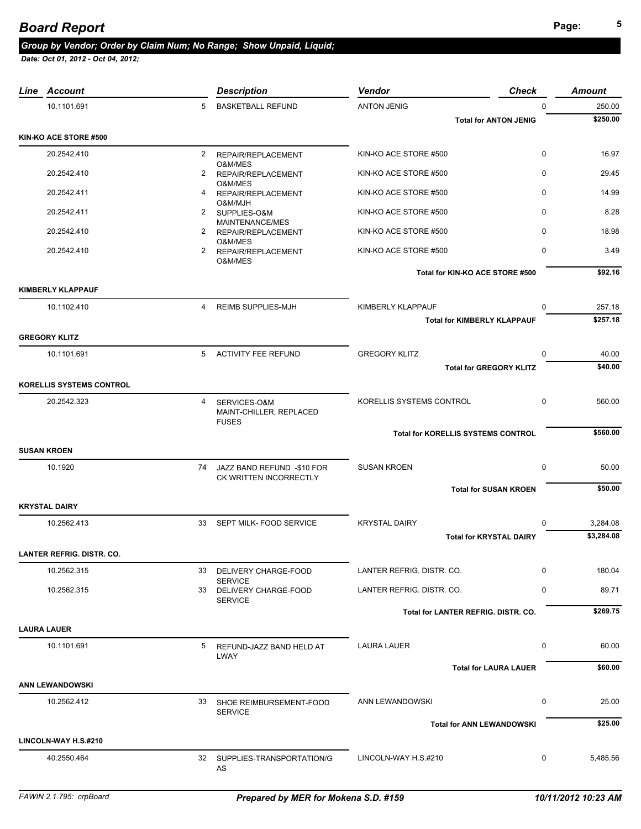| Line Account                     |                      | <b>Description</b>                                      | <b>Vendor</b>                             | <b>Check</b>                       | <b>Amount</b> |
|----------------------------------|----------------------|---------------------------------------------------------|-------------------------------------------|------------------------------------|---------------|
| 10.1101.691                      | 5                    | <b>BASKETBALL REFUND</b>                                | <b>ANTON JENIG</b>                        | $\Omega$                           | 250.00        |
|                                  |                      |                                                         |                                           | <b>Total for ANTON JENIG</b>       | \$250.00      |
| KIN-KO ACE STORE #500            |                      |                                                         |                                           |                                    |               |
| 20.2542.410                      | $\overline{2}$       | REPAIR/REPLACEMENT<br>O&M/MES                           | KIN-KO ACE STORE #500                     | 0                                  | 16.97         |
| 20.2542.410                      | $\overline{2}$       | REPAIR/REPLACEMENT                                      | KIN-KO ACE STORE #500                     | $\mathbf 0$                        | 29.45         |
| 20.2542.411                      | 4                    | O&M/MES<br>REPAIR/REPLACEMENT                           | KIN-KO ACE STORE #500                     | $\mathbf 0$                        | 14.99         |
| 20.2542.411                      | $\mathbf{2}^{\circ}$ | O&M/MJH<br>SUPPLIES-O&M                                 | KIN-KO ACE STORE #500                     | $\mathbf 0$                        | 8.28          |
| 20.2542.410                      | $\mathbf{2}^{\circ}$ | MAINTENANCE/MES<br>REPAIR/REPLACEMENT                   | KIN-KO ACE STORE #500                     | $\Omega$                           | 18.98         |
| 20.2542.410                      | $\mathbf{2}$         | O&M/MES<br>REPAIR/REPLACEMENT                           | KIN-KO ACE STORE #500                     | $\mathbf 0$                        | 3.49          |
|                                  |                      | O&M/MES                                                 | Total for KIN-KO ACE STORE #500           |                                    | \$92.16       |
| <b>KIMBERLY KLAPPAUF</b>         |                      |                                                         |                                           |                                    |               |
| 10.1102.410                      | 4                    | <b>REIMB SUPPLIES-MJH</b>                               | KIMBERLY KLAPPAUF                         | $\Omega$                           | 257.18        |
|                                  |                      |                                                         |                                           | <b>Total for KIMBERLY KLAPPAUF</b> | \$257.18      |
| <b>GREGORY KLITZ</b>             |                      |                                                         |                                           |                                    |               |
| 10.1101.691                      |                      | 5 ACTIVITY FEE REFUND                                   | <b>GREGORY KLITZ</b>                      | $\mathbf 0$                        | 40.00         |
|                                  |                      |                                                         |                                           | <b>Total for GREGORY KLITZ</b>     | \$40.00       |
| <b>KORELLIS SYSTEMS CONTROL</b>  |                      |                                                         |                                           |                                    |               |
| 20.2542.323                      | 4                    | SERVICES-O&M<br>MAINT-CHILLER, REPLACED<br><b>FUSES</b> | KORELLIS SYSTEMS CONTROL                  | $\Omega$                           | 560.00        |
|                                  |                      |                                                         | <b>Total for KORELLIS SYSTEMS CONTROL</b> |                                    | \$560.00      |
| <b>SUSAN KROEN</b>               |                      |                                                         |                                           |                                    |               |
| 10.1920                          |                      | 74 JAZZ BAND REFUND -\$10 FOR                           | <b>SUSAN KROEN</b>                        | $\mathbf 0$                        | 50.00         |
|                                  |                      | CK WRITTEN INCORRECTLY                                  |                                           | <b>Total for SUSAN KROEN</b>       | \$50.00       |
| <b>KRYSTAL DAIRY</b>             |                      |                                                         |                                           |                                    |               |
| 10.2562.413                      |                      | 33 SEPT MILK- FOOD SERVICE                              | <b>KRYSTAL DAIRY</b>                      | $\Omega$                           | 3,284.08      |
|                                  |                      |                                                         |                                           | <b>Total for KRYSTAL DAIRY</b>     | \$3,284.08    |
| <b>LANTER REFRIG. DISTR. CO.</b> |                      |                                                         |                                           |                                    |               |
| 10.2562.315                      | 33                   | DELIVERY CHARGE-FOOD                                    | LANTER REFRIG. DISTR. CO.                 | $\Omega$                           | 180.04        |
| 10.2562.315                      | 33                   | <b>SERVICE</b><br>DELIVERY CHARGE-FOOD                  | LANTER REFRIG. DISTR. CO.                 | $\Omega$                           | 89.71         |
|                                  |                      | <b>SERVICE</b>                                          | Total for LANTER REFRIG. DISTR. CO.       |                                    | \$269.75      |
| <b>LAURA LAUER</b>               |                      |                                                         |                                           |                                    |               |
| 10.1101.691                      | 5                    | REFUND-JAZZ BAND HELD AT                                | <b>LAURA LAUER</b>                        | 0                                  | 60.00         |
|                                  |                      | LWAY                                                    |                                           |                                    |               |
|                                  |                      |                                                         |                                           | <b>Total for LAURA LAUER</b>       | \$60.00       |
| <b>ANN LEWANDOWSKI</b>           |                      |                                                         |                                           |                                    |               |
| 10.2562.412                      |                      | 33 SHOE REIMBURSEMENT-FOOD<br><b>SERVICE</b>            | ANN LEWANDOWSKI                           | 0                                  | 25.00         |
|                                  |                      |                                                         |                                           | <b>Total for ANN LEWANDOWSKI</b>   | \$25.00       |
| LINCOLN-WAY H.S.#210             |                      |                                                         |                                           |                                    |               |
| 40.2550.464                      |                      | 32 SUPPLIES-TRANSPORTATION/G<br>AS                      | LINCOLN-WAY H.S.#210                      | 0                                  | 5,485.56      |
|                                  |                      |                                                         |                                           |                                    |               |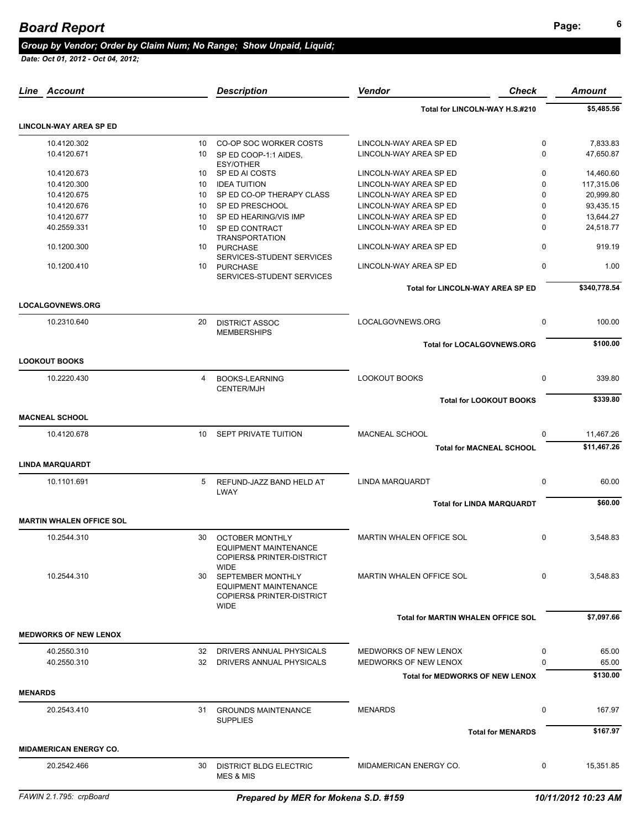|                | Line Account                    |                | <b>Description</b>                                                                                                      | Vendor                                    | <b>Check</b>             | Amount       |
|----------------|---------------------------------|----------------|-------------------------------------------------------------------------------------------------------------------------|-------------------------------------------|--------------------------|--------------|
|                |                                 |                |                                                                                                                         | Total for LINCOLN-WAY H.S.#210            |                          | \$5,485.56   |
|                | <b>LINCOLN-WAY AREA SP ED</b>   |                |                                                                                                                         |                                           |                          |              |
|                | 10.4120.302                     | 10             | CO-OP SOC WORKER COSTS                                                                                                  | LINCOLN-WAY AREA SP ED                    | 0                        | 7,833.83     |
|                | 10.4120.671                     | 10             | SP ED COOP-1:1 AIDES.<br><b>ESY/OTHER</b>                                                                               | LINCOLN-WAY AREA SP ED                    | $\Omega$                 | 47,650.87    |
|                | 10.4120.673                     | 10             | SP ED AI COSTS                                                                                                          | LINCOLN-WAY AREA SP ED                    | $\mathbf 0$              | 14,460.60    |
|                | 10.4120.300                     | 10             | <b>IDEA TUITION</b>                                                                                                     | LINCOLN-WAY AREA SP ED                    | $\mathbf 0$              | 117,315.06   |
|                | 10.4120.675                     | 10             | SP ED CO-OP THERAPY CLASS                                                                                               | LINCOLN-WAY AREA SP ED                    | 0                        | 20,999.80    |
|                | 10.4120.676                     | 10             | SP ED PRESCHOOL                                                                                                         | LINCOLN-WAY AREA SP ED                    | $\Omega$                 | 93,435.15    |
|                | 10.4120.677                     | 10             | SP ED HEARING/VIS IMP                                                                                                   | LINCOLN-WAY AREA SP ED                    | $\Omega$                 | 13,644.27    |
|                | 40.2559.331                     | 10             | SP ED CONTRACT<br><b>TRANSPORTATION</b>                                                                                 | LINCOLN-WAY AREA SP ED                    | $\Omega$                 | 24,518.77    |
|                | 10.1200.300                     | 10             | <b>PURCHASE</b><br>SERVICES-STUDENT SERVICES                                                                            | LINCOLN-WAY AREA SP ED                    | 0                        | 919.19       |
|                | 10.1200.410                     | 10             | <b>PURCHASE</b><br>SERVICES-STUDENT SERVICES                                                                            | LINCOLN-WAY AREA SP ED                    | 0                        | 1.00         |
|                |                                 |                |                                                                                                                         | Total for LINCOLN-WAY AREA SP ED          |                          | \$340,778.54 |
|                | <b>LOCALGOVNEWS.ORG</b>         |                |                                                                                                                         |                                           |                          |              |
|                | 10.2310.640                     | 20             | <b>DISTRICT ASSOC</b><br><b>MEMBERSHIPS</b>                                                                             | LOCALGOVNEWS.ORG                          | 0                        | 100.00       |
|                | <b>LOOKOUT BOOKS</b>            |                |                                                                                                                         | <b>Total for LOCALGOVNEWS.ORG</b>         |                          | \$100.00     |
|                | 10.2220.430                     | $\overline{4}$ | <b>BOOKS-LEARNING</b>                                                                                                   | <b>LOOKOUT BOOKS</b>                      | 0                        | 339.80       |
|                |                                 |                | <b>CENTER/MJH</b>                                                                                                       | <b>Total for LOOKOUT BOOKS</b>            |                          | \$339.80     |
|                | <b>MACNEAL SCHOOL</b>           |                |                                                                                                                         |                                           |                          |              |
|                | 10.4120.678                     | 10             | <b>SEPT PRIVATE TUITION</b>                                                                                             | MACNEAL SCHOOL                            | $\Omega$                 | 11,467.26    |
|                |                                 |                |                                                                                                                         | <b>Total for MACNEAL SCHOOL</b>           |                          | \$11,467.26  |
|                | <b>LINDA MARQUARDT</b>          |                |                                                                                                                         |                                           |                          |              |
|                | 10.1101.691                     | 5              | REFUND-JAZZ BAND HELD AT<br><b>LWAY</b>                                                                                 | <b>LINDA MARQUARDT</b>                    | $\mathbf 0$              | 60.00        |
|                |                                 |                |                                                                                                                         | <b>Total for LINDA MARQUARDT</b>          |                          | \$60.00      |
|                | <b>MARTIN WHALEN OFFICE SOL</b> |                |                                                                                                                         |                                           |                          |              |
|                | 10.2544.310                     | 30             | <b>OCTOBER MONTHLY</b><br>EQUIPMENT MAINTENANCE<br><b>COPIERS&amp; PRINTER-DISTRICT</b>                                 | <b>MARTIN WHALEN OFFICE SOL</b>           | 0                        | 3,548.83     |
|                | 10.2544.310                     | 30             | <b>WIDE</b><br>SEPTEMBER MONTHLY<br><b>EQUIPMENT MAINTENANCE</b><br><b>COPIERS&amp; PRINTER-DISTRICT</b><br><b>WIDE</b> | MARTIN WHALEN OFFICE SOL                  | $\Omega$                 | 3,548.83     |
|                |                                 |                |                                                                                                                         | <b>Total for MARTIN WHALEN OFFICE SOL</b> |                          | \$7,097.66   |
|                | <b>MEDWORKS OF NEW LENOX</b>    |                |                                                                                                                         |                                           |                          |              |
|                | 40.2550.310                     |                | 32 DRIVERS ANNUAL PHYSICALS                                                                                             | MEDWORKS OF NEW LENOX                     | 0                        | 65.00        |
|                | 40.2550.310                     | 32             | DRIVERS ANNUAL PHYSICALS                                                                                                | MEDWORKS OF NEW LENOX                     | $\Omega$                 | 65.00        |
|                |                                 |                |                                                                                                                         | <b>Total for MEDWORKS OF NEW LENOX</b>    |                          | \$130.00     |
| <b>MENARDS</b> |                                 |                |                                                                                                                         |                                           |                          |              |
|                | 20.2543.410                     |                | 31 GROUNDS MAINTENANCE                                                                                                  | <b>MENARDS</b>                            | 0                        | 167.97       |
|                |                                 |                | <b>SUPPLIES</b>                                                                                                         |                                           | <b>Total for MENARDS</b> | \$167.97     |
|                | <b>MIDAMERICAN ENERGY CO.</b>   |                |                                                                                                                         |                                           |                          |              |
|                | 20.2542.466                     | 30             | <b>DISTRICT BLDG ELECTRIC</b><br><b>MES &amp; MIS</b>                                                                   | MIDAMERICAN ENERGY CO.                    | 0                        | 15,351.85    |
|                |                                 |                |                                                                                                                         |                                           |                          |              |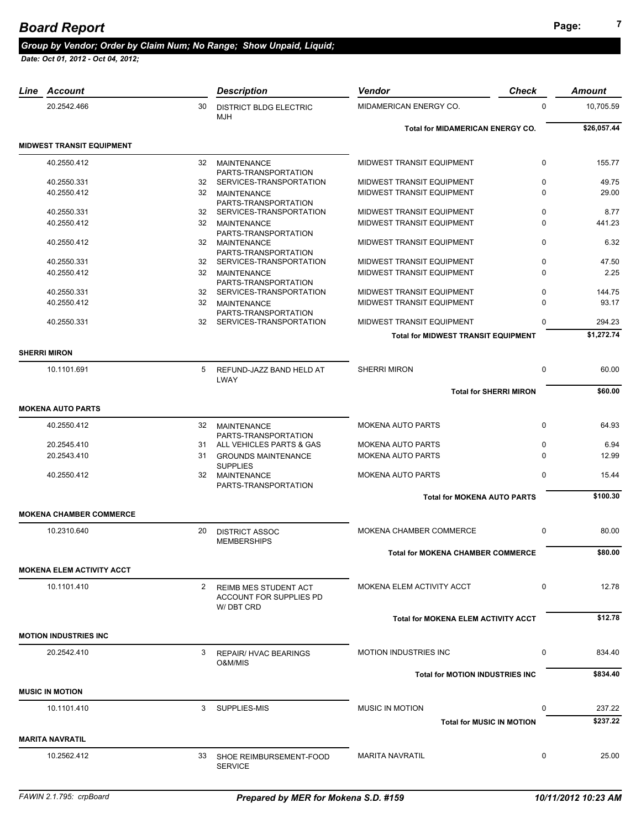| Line Account                     |                      | <b>Description</b>                                    | Vendor                                               | <b>Check</b> | Amount        |
|----------------------------------|----------------------|-------------------------------------------------------|------------------------------------------------------|--------------|---------------|
| 20.2542.466                      | 30                   | <b>DISTRICT BLDG ELECTRIC</b><br><b>MJH</b>           | MIDAMERICAN ENERGY CO.                               | 0            | 10,705.59     |
|                                  |                      |                                                       | <b>Total for MIDAMERICAN ENERGY CO.</b>              |              | \$26,057.44   |
| <b>MIDWEST TRANSIT EQUIPMENT</b> |                      |                                                       |                                                      |              |               |
| 40.2550.412                      | 32                   | <b>MAINTENANCE</b>                                    | MIDWEST TRANSIT EQUIPMENT                            | $\mathbf 0$  | 155.77        |
|                                  |                      | PARTS-TRANSPORTATION                                  |                                                      |              |               |
| 40.2550.331                      |                      | 32 SERVICES-TRANSPORTATION                            | MIDWEST TRANSIT EQUIPMENT                            | $\mathbf 0$  | 49.75         |
| 40.2550.412                      | 32                   | MAINTENANCE<br>PARTS-TRANSPORTATION                   | MIDWEST TRANSIT EQUIPMENT                            | $\Omega$     | 29.00         |
| 40.2550.331                      |                      | 32 SERVICES-TRANSPORTATION                            | MIDWEST TRANSIT EQUIPMENT                            | $\mathbf 0$  | 8.77          |
| 40.2550.412                      |                      | 32 MAINTENANCE                                        | MIDWEST TRANSIT EQUIPMENT                            | $\Omega$     | 441.23        |
|                                  |                      | PARTS-TRANSPORTATION                                  |                                                      | 0            |               |
| 40.2550.412                      |                      | 32 MAINTENANCE<br>PARTS-TRANSPORTATION                | MIDWEST TRANSIT EQUIPMENT                            |              | 6.32          |
| 40.2550.331                      |                      | 32 SERVICES-TRANSPORTATION                            | MIDWEST TRANSIT EQUIPMENT                            | $\mathbf 0$  | 47.50         |
| 40.2550.412                      |                      | 32 MAINTENANCE                                        | MIDWEST TRANSIT EQUIPMENT                            | $\Omega$     | 2.25          |
| 40.2550.331                      |                      | PARTS-TRANSPORTATION<br>32 SERVICES-TRANSPORTATION    | MIDWEST TRANSIT EQUIPMENT                            | $\mathbf 0$  | 144.75        |
| 40.2550.412                      | 32                   | <b>MAINTENANCE</b>                                    | MIDWEST TRANSIT EQUIPMENT                            | $\Omega$     | 93.17         |
|                                  |                      | PARTS-TRANSPORTATION                                  |                                                      |              |               |
| 40.2550.331                      |                      | 32 SERVICES-TRANSPORTATION                            | MIDWEST TRANSIT EQUIPMENT                            | $\Omega$     | 294.23        |
|                                  |                      |                                                       | <b>Total for MIDWEST TRANSIT EQUIPMENT</b>           |              | \$1,272.74    |
| <b>SHERRI MIRON</b>              |                      |                                                       |                                                      |              |               |
|                                  |                      |                                                       |                                                      |              |               |
| 10.1101.691                      | 5                    | REFUND-JAZZ BAND HELD AT<br>LWAY                      | <b>SHERRI MIRON</b>                                  | 0            | 60.00         |
|                                  |                      |                                                       | <b>Total for SHERRI MIRON</b>                        |              | \$60.00       |
|                                  |                      |                                                       |                                                      |              |               |
| <b>MOKENA AUTO PARTS</b>         |                      |                                                       |                                                      |              |               |
| 40.2550.412                      |                      | 32 MAINTENANCE                                        | <b>MOKENA AUTO PARTS</b>                             | $\mathbf 0$  | 64.93         |
|                                  |                      | PARTS-TRANSPORTATION                                  |                                                      | $\mathbf 0$  |               |
| 20.2545.410<br>20.2543.410       |                      | 31 ALL VEHICLES PARTS & GAS<br>31 GROUNDS MAINTENANCE | <b>MOKENA AUTO PARTS</b><br><b>MOKENA AUTO PARTS</b> | $\Omega$     | 6.94<br>12.99 |
|                                  |                      | <b>SUPPLIES</b>                                       |                                                      |              |               |
| 40.2550.412                      |                      | 32 MAINTENANCE                                        | <b>MOKENA AUTO PARTS</b>                             | $\mathbf 0$  | 15.44         |
|                                  |                      | PARTS-TRANSPORTATION                                  |                                                      |              |               |
|                                  |                      |                                                       | <b>Total for MOKENA AUTO PARTS</b>                   |              | \$100.30      |
| <b>MOKENA CHAMBER COMMERCE</b>   |                      |                                                       |                                                      |              |               |
| 10.2310.640                      | 20                   | <b>DISTRICT ASSOC</b>                                 | MOKENA CHAMBER COMMERCE                              | $\mathbf 0$  | 80.00         |
|                                  |                      | <b>MEMBERSHIPS</b>                                    |                                                      |              |               |
|                                  |                      |                                                       | <b>Total for MOKENA CHAMBER COMMERCE</b>             |              | \$80.00       |
| <b>MOKENA ELEM ACTIVITY ACCT</b> |                      |                                                       |                                                      |              |               |
|                                  |                      |                                                       |                                                      |              |               |
| 10.1101.410                      | $\mathbf{2}^{\circ}$ | REIMB MES STUDENT ACT<br>ACCOUNT FOR SUPPLIES PD      | MOKENA ELEM ACTIVITY ACCT                            | $\mathbf 0$  | 12.78         |
|                                  |                      | W/DBT CRD                                             |                                                      |              |               |
|                                  |                      |                                                       | <b>Total for MOKENA ELEM ACTIVITY ACCT</b>           |              | \$12.78       |
| <b>MOTION INDUSTRIES INC</b>     |                      |                                                       |                                                      |              |               |
|                                  |                      |                                                       |                                                      |              |               |
| 20.2542.410                      | 3                    | <b>REPAIR/ HVAC BEARINGS</b><br>O&M/MIS               | <b>MOTION INDUSTRIES INC</b>                         | 0            | 834.40        |
|                                  |                      |                                                       | <b>Total for MOTION INDUSTRIES INC</b>               |              | \$834.40      |
|                                  |                      |                                                       |                                                      |              |               |
| <b>MUSIC IN MOTION</b>           |                      |                                                       |                                                      |              |               |
| 10.1101.410                      | 3                    | SUPPLIES-MIS                                          | <b>MUSIC IN MOTION</b>                               | 0            | 237.22        |
|                                  |                      |                                                       | <b>Total for MUSIC IN MOTION</b>                     |              | \$237.22      |
| <b>MARITA NAVRATIL</b>           |                      |                                                       |                                                      |              |               |
|                                  |                      |                                                       |                                                      |              |               |
| 10.2562.412                      | 33                   | SHOE REIMBURSEMENT-FOOD<br><b>SERVICE</b>             | <b>MARITA NAVRATIL</b>                               | $\mathbf 0$  | 25.00         |
|                                  |                      |                                                       |                                                      |              |               |
|                                  |                      |                                                       |                                                      |              |               |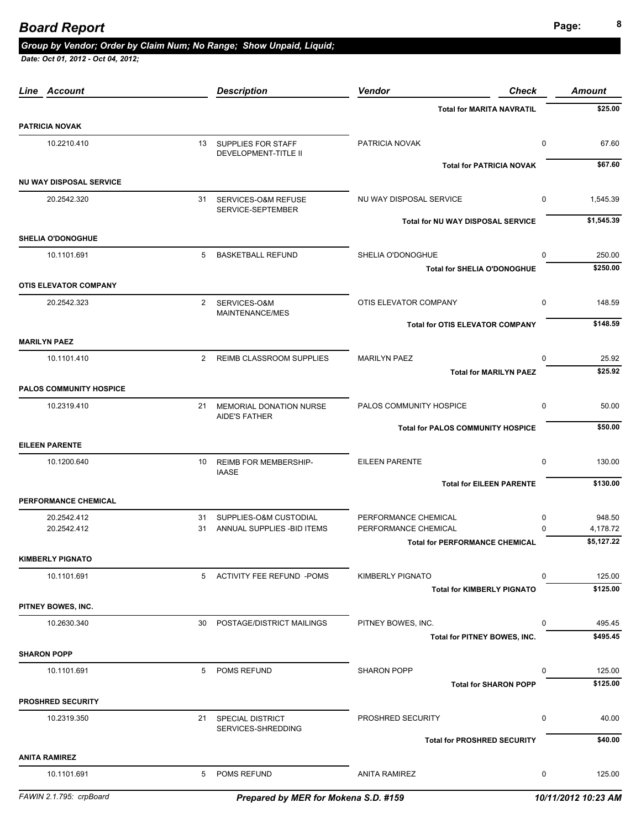*Date: Oct 01, 2012 - Oct 04, 2012;* 

| Line Account                   |                | <b>Description</b>                                   | <b>Vendor</b><br>Check                                                    | <b>Amount</b>          |
|--------------------------------|----------------|------------------------------------------------------|---------------------------------------------------------------------------|------------------------|
|                                |                |                                                      | <b>Total for MARITA NAVRATIL</b>                                          | \$25.00                |
| <b>PATRICIA NOVAK</b>          |                |                                                      |                                                                           |                        |
| 10.2210.410                    |                | 13 SUPPLIES FOR STAFF<br><b>DEVELOPMENT-TITLE II</b> | 0<br>PATRICIA NOVAK                                                       | 67.60                  |
|                                |                |                                                      | <b>Total for PATRICIA NOVAK</b>                                           | \$67.60                |
| <b>NU WAY DISPOSAL SERVICE</b> |                |                                                      |                                                                           |                        |
| 20.2542.320                    | 31             | SERVICES-O&M REFUSE<br>SERVICE-SEPTEMBER             | NU WAY DISPOSAL SERVICE<br>$\mathbf 0$                                    | 1,545.39               |
| <b>SHELIA O'DONOGHUE</b>       |                |                                                      | <b>Total for NU WAY DISPOSAL SERVICE</b>                                  | \$1,545.39             |
| 10.1101.691                    |                | 5 BASKETBALL REFUND                                  | SHELIA O'DONOGHUE<br>$\mathbf 0$                                          | 250.00                 |
|                                |                |                                                      | <b>Total for SHELIA O'DONOGHUE</b>                                        | \$250.00               |
| <b>OTIS ELEVATOR COMPANY</b>   |                |                                                      |                                                                           |                        |
| 20.2542.323                    | $\overline{2}$ | SERVICES-O&M<br>MAINTENANCE/MES                      | OTIS ELEVATOR COMPANY<br>$\mathbf 0$                                      | 148.59                 |
|                                |                |                                                      | <b>Total for OTIS ELEVATOR COMPANY</b>                                    | \$148.59               |
| <b>MARILYN PAEZ</b>            |                |                                                      |                                                                           |                        |
| 10.1101.410                    |                | 2 REIMB CLASSROOM SUPPLIES                           | <b>MARILYN PAEZ</b><br>$\mathbf 0$                                        | 25.92                  |
|                                |                |                                                      | <b>Total for MARILYN PAEZ</b>                                             | \$25.92                |
| <b>PALOS COMMUNITY HOSPICE</b> |                |                                                      |                                                                           |                        |
| 10.2319.410                    | 21             | MEMORIAL DONATION NURSE<br><b>AIDE'S FATHER</b>      | PALOS COMMUNITY HOSPICE<br>$\mathbf 0$                                    | 50.00                  |
|                                |                |                                                      | <b>Total for PALOS COMMUNITY HOSPICE</b>                                  | \$50.00                |
| <b>EILEEN PARENTE</b>          |                |                                                      |                                                                           |                        |
| 10.1200.640                    | 10             | <b>REIMB FOR MEMBERSHIP-</b><br><b>IAASE</b>         | <b>EILEEN PARENTE</b><br>$\mathbf 0$                                      | 130.00                 |
|                                |                |                                                      | <b>Total for EILEEN PARENTE</b>                                           | \$130.00               |
| PERFORMANCE CHEMICAL           |                |                                                      |                                                                           |                        |
| 20.2542.412                    | 31             | SUPPLIES-O&M CUSTODIAL                               | PERFORMANCE CHEMICAL<br>0                                                 | 948.50                 |
| 20.2542.412                    | 31             | ANNUAL SUPPLIES - BID ITEMS                          | PERFORMANCE CHEMICAL<br>$\Omega$<br><b>Total for PERFORMANCE CHEMICAL</b> | 4,178.72<br>\$5,127.22 |
| <b>KIMBERLY PIGNATO</b>        |                |                                                      |                                                                           |                        |
| 10.1101.691                    |                | 5 ACTIVITY FEE REFUND -POMS                          | <b>KIMBERLY PIGNATO</b><br>0                                              | 125.00                 |
|                                |                |                                                      | <b>Total for KIMBERLY PIGNATO</b>                                         | \$125.00               |
| PITNEY BOWES, INC.             |                |                                                      |                                                                           |                        |
| 10.2630.340                    | 30             | POSTAGE/DISTRICT MAILINGS                            | PITNEY BOWES, INC.<br>0                                                   | 495.45                 |
|                                |                |                                                      | Total for PITNEY BOWES, INC.                                              | \$495.45               |
| <b>SHARON POPP</b>             |                |                                                      |                                                                           |                        |
| 10.1101.691                    | 5              | POMS REFUND                                          | <b>SHARON POPP</b><br>0                                                   | 125.00                 |
|                                |                |                                                      | <b>Total for SHARON POPP</b>                                              | \$125.00               |
| <b>PROSHRED SECURITY</b>       |                |                                                      |                                                                           |                        |
| 10.2319.350                    | 21             | SPECIAL DISTRICT<br>SERVICES-SHREDDING               | PROSHRED SECURITY<br>0                                                    | 40.00                  |
|                                |                |                                                      | <b>Total for PROSHRED SECURITY</b>                                        | \$40.00                |
| <b>ANITA RAMIREZ</b>           |                |                                                      |                                                                           |                        |
| 10.1101.691                    | 5              | POMS REFUND                                          | <b>ANITA RAMIREZ</b><br>0                                                 | 125.00                 |

*FAWIN 2.1.795: crpBoard Prepared by MER for Mokena S.D. #159 10/11/2012 10:23 AM*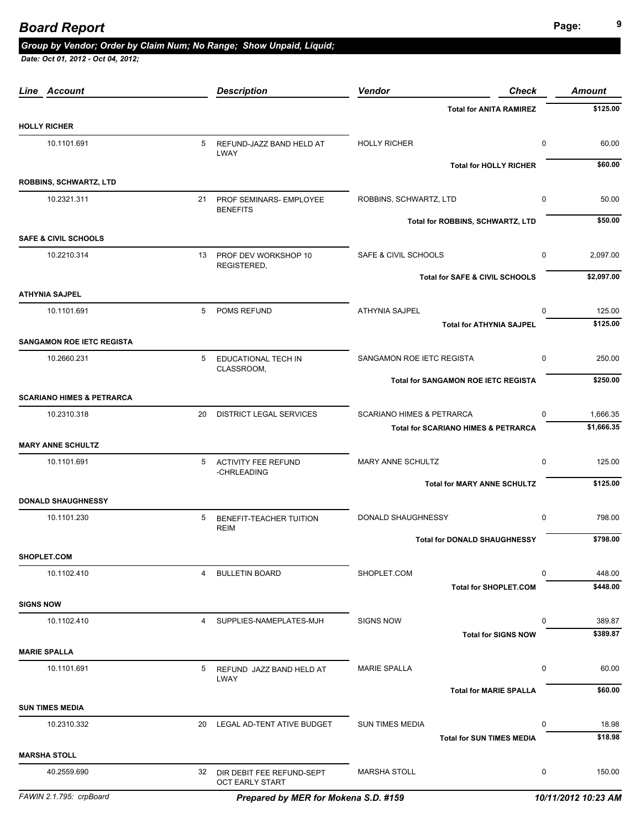# **Page: Page: 9** *Page:* **<b>9** *Page:* **Page: 9** *Page:* **9** *Page:* **9** *Page:* **<b>9** *Page:*

### *Group by Vendor; Order by Claim Num; No Range; Show Unpaid, Liquid;*

| Line Account                         |                | <b>Description</b>                                  | Vendor<br><b>Check</b>                         | <b>Amount</b>                  |
|--------------------------------------|----------------|-----------------------------------------------------|------------------------------------------------|--------------------------------|
|                                      |                |                                                     | <b>Total for ANITA RAMIREZ</b>                 | \$125.00                       |
| <b>HOLLY RICHER</b>                  |                |                                                     |                                                |                                |
| 10.1101.691                          | 5              | REFUND-JAZZ BAND HELD AT<br>LWAY                    | <b>HOLLY RICHER</b>                            | $\pmb{0}$<br>60.00             |
|                                      |                |                                                     | <b>Total for HOLLY RICHER</b>                  | \$60.00                        |
| <b>ROBBINS, SCHWARTZ, LTD</b>        |                |                                                     |                                                |                                |
| 10.2321.311                          | 21             | PROF SEMINARS- EMPLOYEE<br><b>BENEFITS</b>          | ROBBINS, SCHWARTZ, LTD                         | 0<br>50.00                     |
|                                      |                |                                                     | Total for ROBBINS, SCHWARTZ, LTD               | \$50.00                        |
| <b>SAFE &amp; CIVIL SCHOOLS</b>      |                |                                                     |                                                |                                |
| 10.2210.314                          |                | 13 PROF DEV WORKSHOP 10<br>REGISTERED,              | SAFE & CIVIL SCHOOLS                           | 0<br>2,097.00                  |
|                                      |                |                                                     | Total for SAFE & CIVIL SCHOOLS                 | \$2,097.00                     |
| <b>ATHYNIA SAJPEL</b>                |                |                                                     |                                                |                                |
| 10.1101.691                          | 5              | POMS REFUND                                         | <b>ATHYNIA SAJPEL</b>                          | 125.00<br>$\Omega$<br>\$125.00 |
| <b>SANGAMON ROE IETC REGISTA</b>     |                |                                                     | <b>Total for ATHYNIA SAJPEL</b>                |                                |
| 10.2660.231                          | 5              | EDUCATIONAL TECH IN                                 | SANGAMON ROE IETC REGISTA                      | $\mathbf 0$<br>250.00          |
|                                      |                | CLASSROOM,                                          | <b>Total for SANGAMON ROE IETC REGISTA</b>     | \$250.00                       |
| <b>SCARIANO HIMES &amp; PETRARCA</b> |                |                                                     |                                                |                                |
| 10.2310.318                          | 20             | <b>DISTRICT LEGAL SERVICES</b>                      | <b>SCARIANO HIMES &amp; PETRARCA</b>           | 1,666.35<br>0                  |
|                                      |                |                                                     | <b>Total for SCARIANO HIMES &amp; PETRARCA</b> | \$1,666.35                     |
| <b>MARY ANNE SCHULTZ</b>             |                |                                                     |                                                |                                |
| 10.1101.691                          | 5              | <b>ACTIVITY FEE REFUND</b><br>-CHRLEADING           | MARY ANNE SCHULTZ                              | 125.00<br>0                    |
|                                      |                |                                                     | <b>Total for MARY ANNE SCHULTZ</b>             | \$125.00                       |
| <b>DONALD SHAUGHNESSY</b>            |                |                                                     |                                                |                                |
| 10.1101.230                          | 5              | BENEFIT-TEACHER TUITION<br><b>REIM</b>              | DONALD SHAUGHNESSY                             | $\mathbf 0$<br>798.00          |
|                                      |                |                                                     | <b>Total for DONALD SHAUGHNESSY</b>            | \$798.00                       |
| SHOPLET.COM                          |                |                                                     |                                                |                                |
| 10.1102.410                          | 4              | <b>BULLETIN BOARD</b>                               | SHOPLET.COM                                    | 448.00<br>$\Omega$             |
|                                      |                |                                                     | <b>Total for SHOPLET.COM</b>                   | \$448.00                       |
| <b>SIGNS NOW</b>                     |                |                                                     |                                                |                                |
| 10.1102.410                          | $\overline{4}$ | SUPPLIES-NAMEPLATES-MJH                             | <b>SIGNS NOW</b>                               | 389.87<br>0                    |
|                                      |                |                                                     | <b>Total for SIGNS NOW</b>                     | \$389.87                       |
| <b>MARIE SPALLA</b>                  |                |                                                     |                                                |                                |
| 10.1101.691                          | 5              | REFUND JAZZ BAND HELD AT<br>LWAY                    | <b>MARIE SPALLA</b>                            | 0<br>60.00                     |
|                                      |                |                                                     | <b>Total for MARIE SPALLA</b>                  | \$60.00                        |
| <b>SUN TIMES MEDIA</b>               |                |                                                     |                                                |                                |
| 10.2310.332                          | 20             | LEGAL AD-TENT ATIVE BUDGET                          | <b>SUN TIMES MEDIA</b>                         | 18.98<br>0                     |
|                                      |                |                                                     | <b>Total for SUN TIMES MEDIA</b>               | \$18.98                        |
| <b>MARSHA STOLL</b>                  |                |                                                     |                                                |                                |
| 40.2559.690                          | 32             | DIR DEBIT FEE REFUND-SEPT<br><b>OCT EARLY START</b> | <b>MARSHA STOLL</b>                            | 0<br>150.00                    |
| FAWIN 2.1.795: crpBoard              |                | Prepared by MER for Mokena S.D. #159                |                                                | 10/11/2012 10:23 AM            |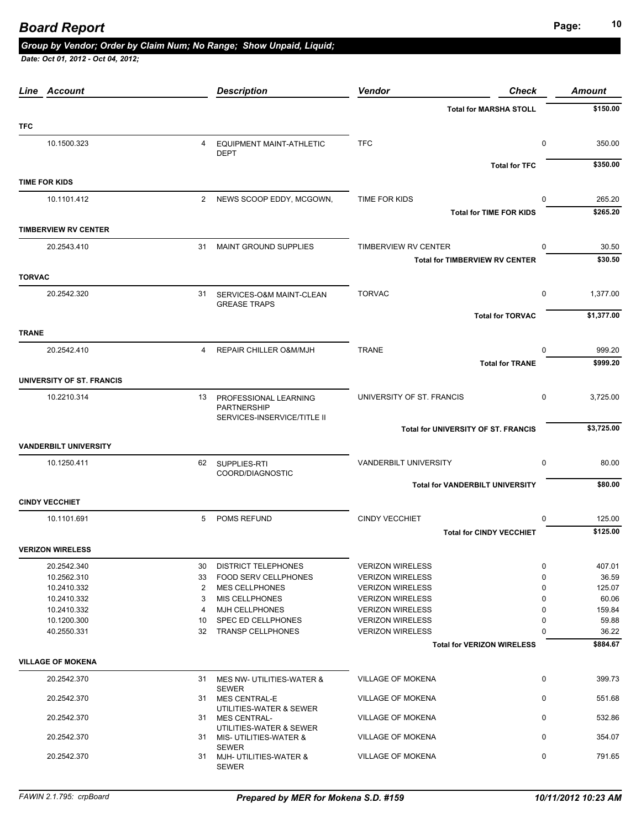# **Page: <sup>10</sup>** *Board Report*

### *Group by Vendor; Order by Claim Num; No Range; Show Unpaid, Liquid;*

| Account<br>Line              |          | <b>Description</b>                                 | Vendor                                             | <b>Check</b>            | <b>Amount</b>  |
|------------------------------|----------|----------------------------------------------------|----------------------------------------------------|-------------------------|----------------|
|                              |          |                                                    | <b>Total for MARSHA STOLL</b>                      |                         | \$150.00       |
| <b>TFC</b>                   |          |                                                    |                                                    |                         |                |
| 10.1500.323                  | 4        | <b>EQUIPMENT MAINT-ATHLETIC</b><br><b>DEPT</b>     | <b>TFC</b>                                         | 0                       | 350.00         |
|                              |          |                                                    |                                                    | <b>Total for TFC</b>    | \$350.00       |
| <b>TIME FOR KIDS</b>         |          |                                                    |                                                    |                         |                |
| 10.1101.412                  |          | 2 NEWS SCOOP EDDY, MCGOWN,                         | TIME FOR KIDS                                      | $\Omega$                | 265.20         |
|                              |          |                                                    | <b>Total for TIME FOR KIDS</b>                     |                         | \$265.20       |
| <b>TIMBERVIEW RV CENTER</b>  |          |                                                    |                                                    |                         |                |
| 20.2543.410                  |          | 31 MAINT GROUND SUPPLIES                           | TIMBERVIEW RV CENTER                               | $\Omega$                | 30.50          |
|                              |          |                                                    | <b>Total for TIMBERVIEW RV CENTER</b>              |                         | \$30.50        |
| <b>TORVAC</b>                |          |                                                    |                                                    |                         |                |
| 20.2542.320                  |          | 31 SERVICES-O&M MAINT-CLEAN<br><b>GREASE TRAPS</b> | <b>TORVAC</b>                                      | $\mathbf 0$             | 1,377.00       |
|                              |          |                                                    |                                                    | <b>Total for TORVAC</b> | \$1,377.00     |
| <b>TRANE</b>                 |          |                                                    |                                                    |                         |                |
| 20.2542.410                  | 4        | REPAIR CHILLER O&M/MJH                             | <b>TRANE</b>                                       | $\Omega$                | 999.20         |
|                              |          |                                                    |                                                    | <b>Total for TRANE</b>  | \$999.20       |
| UNIVERSITY OF ST. FRANCIS    |          |                                                    |                                                    |                         |                |
| 10.2210.314                  | 13       | PROFESSIONAL LEARNING                              | UNIVERSITY OF ST. FRANCIS                          | $\mathbf 0$             | 3,725.00       |
|                              |          | PARTNERSHIP<br>SERVICES-INSERVICE/TITLE II         |                                                    |                         |                |
|                              |          |                                                    | <b>Total for UNIVERSITY OF ST. FRANCIS</b>         |                         | \$3,725.00     |
| <b>VANDERBILT UNIVERSITY</b> |          |                                                    |                                                    |                         |                |
| 10.1250.411                  |          | 62 SUPPLIES-RTI                                    | VANDERBILT UNIVERSITY                              | $\mathbf 0$             | 80.00          |
|                              |          | COORD/DIAGNOSTIC                                   | <b>Total for VANDERBILT UNIVERSITY</b>             |                         | \$80.00        |
| <b>CINDY VECCHIET</b>        |          |                                                    |                                                    |                         |                |
| 10.1101.691                  | 5        | POMS REFUND                                        | <b>CINDY VECCHIET</b>                              | 0                       | 125.00         |
|                              |          |                                                    | <b>Total for CINDY VECCHIET</b>                    |                         | \$125.00       |
| <b>VERIZON WIRELESS</b>      |          |                                                    |                                                    |                         |                |
| 20.2542.340                  | 30       | <b>DISTRICT TELEPHONES</b>                         | <b>VERIZON WIRELESS</b>                            | 0                       | 407.01         |
| 10.2562.310                  | 33       | <b>FOOD SERV CELLPHONES</b>                        | <b>VERIZON WIRELESS</b>                            | 0                       | 36.59          |
| 10.2410.332                  | 2        | <b>MES CELLPHONES</b>                              | <b>VERIZON WIRELESS</b>                            | 0                       | 125.07         |
| 10.2410.332                  | 3        | <b>MIS CELLPHONES</b>                              | <b>VERIZON WIRELESS</b>                            | 0                       | 60.06          |
| 10.2410.332                  | 4        | MJH CELLPHONES<br><b>SPEC ED CELLPHONES</b>        | <b>VERIZON WIRELESS</b>                            | 0                       | 159.84         |
| 10.1200.300<br>40.2550.331   | 10<br>32 | <b>TRANSP CELLPHONES</b>                           | <b>VERIZON WIRELESS</b><br><b>VERIZON WIRELESS</b> | 0<br>$\Omega$           | 59.88<br>36.22 |
|                              |          |                                                    | <b>Total for VERIZON WIRELESS</b>                  |                         | \$884.67       |
| <b>VILLAGE OF MOKENA</b>     |          |                                                    |                                                    |                         |                |
| 20.2542.370                  |          | 31 MES NW- UTILITIES-WATER &                       | VILLAGE OF MOKENA                                  | 0                       | 399.73         |
| 20.2542.370                  |          | <b>SEWER</b>                                       | VILLAGE OF MOKENA                                  | 0                       | 551.68         |
|                              |          | 31 MES CENTRAL-E<br>UTILITIES-WATER & SEWER        |                                                    |                         |                |
| 20.2542.370                  |          | 31 MES CENTRAL-<br>UTILITIES-WATER & SEWER         | VILLAGE OF MOKENA                                  | $\mathbf 0$             | 532.86         |
| 20.2542.370                  |          | 31 MIS-UTILITIES-WATER &                           | VILLAGE OF MOKENA                                  | $\mathbf 0$             | 354.07         |
| 20.2542.370                  |          | <b>SEWER</b><br>31 MJH- UTILITIES-WATER &          | <b>VILLAGE OF MOKENA</b>                           | 0                       | 791.65         |
|                              |          | SEWER                                              |                                                    |                         |                |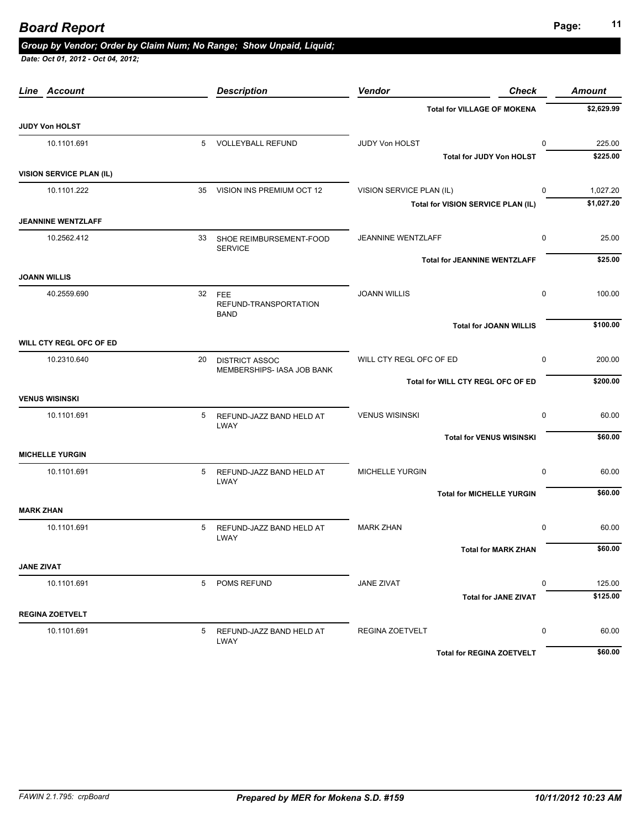# **Page: <sup>11</sup>** *Board Report*

### *Group by Vendor; Order by Claim Num; No Range; Show Unpaid, Liquid;*

|                   | <b>Line Account</b>             |        | <b>Description</b>                           | <b>Vendor</b>            | <b>Check</b>                        | <b>Amount</b>      |
|-------------------|---------------------------------|--------|----------------------------------------------|--------------------------|-------------------------------------|--------------------|
|                   |                                 |        |                                              |                          | <b>Total for VILLAGE OF MOKENA</b>  | \$2,629.99         |
|                   | <b>JUDY Von HOLST</b>           |        |                                              |                          |                                     |                    |
|                   | 10.1101.691                     |        | 5 VOLLEYBALL REFUND                          | JUDY Von HOLST           | $\mathbf{0}$                        | 225.00             |
|                   |                                 |        |                                              |                          | Total for JUDY Von HOLST            | \$225.00           |
|                   | <b>VISION SERVICE PLAN (IL)</b> |        |                                              |                          |                                     |                    |
|                   | 10.1101.222                     |        | 35 VISION INS PREMIUM OCT 12                 | VISION SERVICE PLAN (IL) | 0                                   | 1,027.20           |
|                   |                                 |        |                                              |                          | Total for VISION SERVICE PLAN (IL)  | \$1,027.20         |
|                   | <b>JEANNINE WENTZLAFF</b>       |        |                                              |                          |                                     |                    |
|                   | 10.2562.412                     |        | 33 SHOE REIMBURSEMENT-FOOD<br><b>SERVICE</b> | JEANNINE WENTZLAFF       | $\mathbf 0$                         | 25.00              |
|                   |                                 |        |                                              |                          | <b>Total for JEANNINE WENTZLAFF</b> | \$25.00            |
|                   | <b>JOANN WILLIS</b>             |        |                                              |                          |                                     |                    |
| 40.2559.690       |                                 | 32 FEE | <b>JOANN WILLIS</b>                          | $\mathbf 0$              | 100.00                              |                    |
|                   |                                 |        | REFUND-TRANSPORTATION<br><b>BAND</b>         |                          |                                     |                    |
|                   |                                 |        |                                              |                          | <b>Total for JOANN WILLIS</b>       | \$100.00           |
|                   | WILL CTY REGL OFC OF ED         |        |                                              |                          |                                     |                    |
|                   | 10.2310.640                     | 20     | <b>DISTRICT ASSOC</b>                        | WILL CTY REGL OFC OF ED  | $\mathbf 0$                         | 200.00             |
|                   |                                 |        | MEMBERSHIPS- IASA JOB BANK                   |                          | Total for WILL CTY REGL OFC OF ED   | \$200.00           |
|                   | <b>VENUS WISINSKI</b>           |        |                                              |                          |                                     |                    |
|                   | 10.1101.691                     | 5      | REFUND-JAZZ BAND HELD AT                     | <b>VENUS WISINSKI</b>    | $\mathbf 0$                         | 60.00              |
|                   |                                 |        | LWAY                                         |                          |                                     |                    |
|                   |                                 |        |                                              |                          | <b>Total for VENUS WISINSKI</b>     | \$60.00            |
|                   | <b>MICHELLE YURGIN</b>          |        |                                              |                          |                                     |                    |
|                   | 10.1101.691                     | 5      | REFUND-JAZZ BAND HELD AT<br><b>LWAY</b>      | <b>MICHELLE YURGIN</b>   | $\mathbf 0$                         | 60.00              |
|                   |                                 |        |                                              |                          | <b>Total for MICHELLE YURGIN</b>    | \$60.00            |
| <b>MARK ZHAN</b>  |                                 |        |                                              |                          |                                     |                    |
|                   | 10.1101.691                     | 5      | REFUND-JAZZ BAND HELD AT                     | <b>MARK ZHAN</b>         | $\mathbf 0$                         | 60.00              |
|                   |                                 |        | <b>LWAY</b>                                  |                          | <b>Total for MARK ZHAN</b>          | \$60.00            |
| <b>JANE ZIVAT</b> |                                 |        |                                              |                          |                                     |                    |
|                   |                                 | 5      | POMS REFUND                                  |                          | 0                                   |                    |
|                   | 10.1101.691                     |        |                                              | <b>JANE ZIVAT</b>        | <b>Total for JANE ZIVAT</b>         | 125.00<br>\$125.00 |
|                   | <b>REGINA ZOETVELT</b>          |        |                                              |                          |                                     |                    |
|                   | 10.1101.691                     | 5      | REFUND-JAZZ BAND HELD AT                     | REGINA ZOETVELT          | 0                                   | 60.00              |
|                   |                                 |        | LWAY                                         |                          |                                     |                    |
|                   |                                 |        |                                              |                          | <b>Total for REGINA ZOETVELT</b>    | \$60.00            |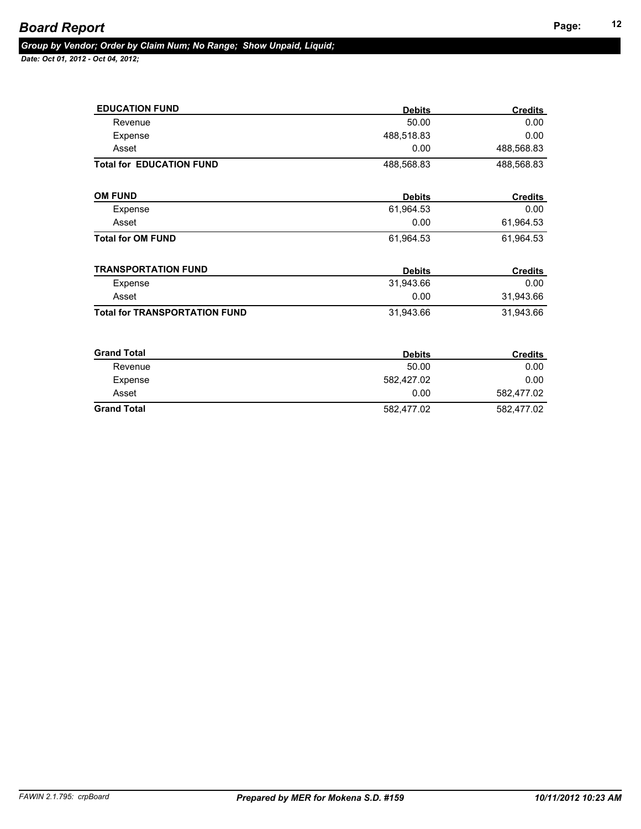| <b>EDUCATION FUND</b>                | <b>Debits</b> | <b>Credits</b> |
|--------------------------------------|---------------|----------------|
| Revenue                              | 50.00         | 0.00           |
| Expense                              | 488,518.83    | 0.00           |
| Asset                                | 0.00          | 488,568.83     |
| <b>Total for EDUCATION FUND</b>      | 488,568.83    | 488,568.83     |
| <b>OM FUND</b>                       | <b>Debits</b> | <b>Credits</b> |
| Expense                              | 61,964.53     | 0.00           |
| Asset                                | 0.00          | 61,964.53      |
| <b>Total for OM FUND</b>             | 61,964.53     | 61,964.53      |
| <b>TRANSPORTATION FUND</b>           | <b>Debits</b> | <b>Credits</b> |
| Expense                              | 31,943.66     | 0.00           |
| Asset                                | 0.00          | 31,943.66      |
| <b>Total for TRANSPORTATION FUND</b> | 31,943.66     | 31,943.66      |
| <b>Grand Total</b>                   | <b>Debits</b> | <b>Credits</b> |
| Revenue                              | 50.00         | 0.00           |
| Expense                              | 582,427.02    | 0.00           |
| Asset                                | 0.00          | 582,477.02     |
| <b>Grand Total</b>                   | 582,477.02    | 582,477.02     |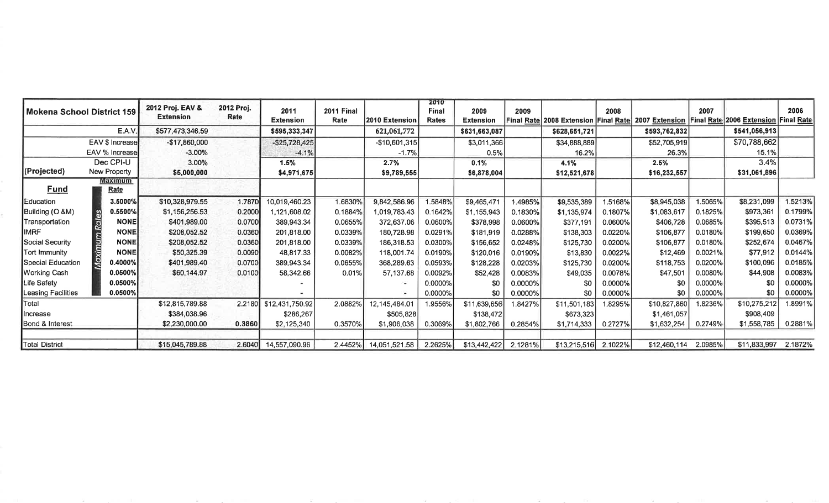| l Mokena School District 159 |                 | 2012 Proj. EAV &<br><b>Extension</b> | 2012 Proj.<br>Rate | 2011<br><b>Extension</b> | 2011 Final<br>Rate | 2010 Extension        | 2010<br><b>Final</b><br><b>Rates</b> | 2009<br><b>Extension</b> | 2009    |               | 2008    | Final Rate 2008 Extension Final Rate 2007 Extension Final Rate 2006 Extension Final Rate | 2007    |               | 2006       |
|------------------------------|-----------------|--------------------------------------|--------------------|--------------------------|--------------------|-----------------------|--------------------------------------|--------------------------|---------|---------------|---------|------------------------------------------------------------------------------------------|---------|---------------|------------|
|                              | E.A.V           | \$577,473,346.59                     |                    | \$595,333,347            |                    | 621,061,772           |                                      | \$631,663,087            |         | \$628,651,721 |         | \$593,762,832                                                                            |         | \$541,056,913 |            |
|                              | EAV \$ Increase | $-$17,860,000$                       |                    | $-$ \$25,728,425         |                    | $-$10,601,315$        |                                      | \$3,011,366              |         | \$34,888,889  |         | \$52,705,919                                                                             |         | \$70,788,662  |            |
|                              | EAV % Increase  | $-3.00\%$                            |                    | $-4.1%$                  |                    | $-1.7%$               |                                      | 0.5%                     |         | 16.2%         |         | 26.3%                                                                                    |         | 15.1%         |            |
|                              | Dec CPI-U       | 3.00%                                |                    | 1.5%                     |                    | 2.7%                  |                                      | 0.1%                     |         | 4.1%          |         | 2.5%                                                                                     |         | 3.4%          |            |
| (Projected)                  | New Property    | \$5,000,000                          |                    | \$4,971,675              |                    | \$9,789,555           |                                      | \$6,878,004              |         | \$12,521,678  |         | \$16,232,557                                                                             |         | \$31,061,896  |            |
| <b>Fund</b>                  | Maximum<br>Rate |                                      |                    |                          |                    |                       |                                      |                          |         |               |         |                                                                                          |         |               |            |
| Education                    | 3.5000%         | \$10,328,979.55                      | 1.7870             | 10,019,460.23            | 1.6830%            | 9,842,586.96          | .5848%                               | \$9,465,471              | .4985%  | \$9,535,389   | 1.5168% | \$8,945,038                                                                              | 1.5065% | \$8,231,099   | .5213%     |
| Building (O &M)              | 0.5500%         | \$1,156,256.53                       | 0.2000             | 1.121.608.02             | 0.1884%            | 1,019,783.43          | 0.1642%                              | \$1,155,943              | 0.1830% | \$1,135,974   | 0.1807% | \$1,083,617                                                                              | 0.1825% | \$973,361     | 0.1799%    |
| Transportation               | <b>NONE</b>     | \$401,989.00                         | 0.0700             | 389,943.34               | 0.0655%            | 372,637.06            | 0.0600%                              | \$378,998                | 0.0600% | \$377,191     | 0.0600% | \$406,728                                                                                | 0.0685% | \$395,513     | 0.0731%    |
| <b>IMRF</b>                  | <b>NONE</b>     | \$208,052.52                         | 0.0360             | 201,818.00               | 0.0339%            | 180,728.98            | 0.0291%                              | \$181,919                | 0.0288% | \$138,303     | 0.0220% | \$106,877                                                                                | 0.0180% | \$199,650     | 0.0369%    |
| Social Security              | <b>NONE</b>     | \$208,052.52                         | 0.0360             | 201.818.00               | 0.0339%            | 186,318.53            | 0.0300%                              | \$156,652                | 0.0248% | \$125,730     | 0.0200% | \$106,877                                                                                | 0.0180% | \$252,674     | 0.0467%    |
| Tort Immunity                | <b>NONE</b>     | \$50,325.39                          | 0.0090             | 48,817.33                | 0.0082%            | 118,001.74            | 0.0190%                              | \$120,016                | 0.0190% | \$13,830      | 0.0022% | \$12,469                                                                                 | 0.0021% | \$77,912      | 0.0144%    |
| Special Education            | 0.4000%         | \$401,989.40                         | 0.0700             | 389.943.34               | 0.0655%            | 368,289.63            | 0.0593%                              | \$128,228                | 0.0203% | \$125,730     | 0.0200% | \$118,753                                                                                | 0.0200% | \$100,096     | 0.0185%    |
| Working Cash                 | 0.0500%         | \$60,144.97                          | 0.0100             | 58,342.66                | 0.01%              | 57,137.68             | 0.0092%                              | \$52,428                 | 0.0083% | \$49,035      | 0.0078% | \$47,501                                                                                 | 0.0080% | \$44,908      | $0.0083\%$ |
| Life Safety                  | 0.0500%         |                                      |                    |                          |                    |                       | 0.0000%                              | \$0                      | 0.0000% | \$0           | 0.0000% | \$0                                                                                      | 0.0000% | \$0           | $0.0000\%$ |
| Leasing Facilities           | 0.0500%         |                                      |                    |                          |                    |                       | 0.0000%                              | \$0                      | 0.0000% | \$0           | 0.0000% | \$0                                                                                      | 0.0000% | \$0           | 0.0000%    |
| Total                        |                 | \$12,815,789.88                      | 2.2180             | \$12,431,750.92          | 2.0882%            | 12,145,484.01         | 9556%                                | \$11,639,656             | 1.8427% | \$11,501,183  | 1.8295% | \$10,827,860                                                                             | 1.8236% | \$10,275,212  | 1.8991%    |
| lincrease                    |                 | \$384,038.96                         |                    | \$286,267                |                    | \$505,828             |                                      | \$138,472                |         | \$673,323     |         | \$1,461,057                                                                              |         | \$908,409     |            |
| Bond & Interest              |                 | \$2,230,000.00                       | 0.3860             | \$2,125,340              | 0.3570%            | \$1,906,038           | 0.3069%                              | \$1,802,766              | 0.2854% | \$1,714,333   | 0.2727% | \$1,632,254                                                                              | 0.2749% | \$1,558,785   | 0.2881%    |
| <b>Total District</b>        |                 | \$15,045,789.88                      | 2.6040             | 14,557,090.96            |                    | 2.4452% 14,051,521.58 | 2.2625%                              | \$13,442,422             | 2.1281% | \$13,215,516  | 2.1022% | \$12,460,114                                                                             | 2.0985% | \$11,833,997  | 2.1872%    |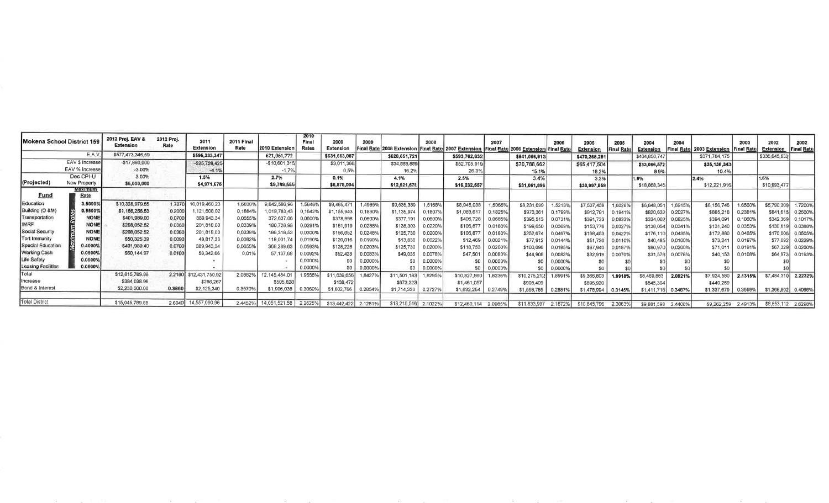|                     | Mokena School District 159 | 2012 Proj. EAV &<br><b>Extension</b> | 2012 Proj.<br>Rate | 2011<br>Extension      | 2011 Final<br>Rate | 2010 Extension | 2010<br>Final<br>Rates | 2009<br><b>Extension</b> | 2009<br><b>Final Rate</b> | 2008 Extension Final Rate | 2008    | 2007 Extension Final Rate | 2007    | [2006 Extension Final Rate | 2006    | 2005<br><b>Extension</b> | 2005<br>Final Rat | 2004<br>Extension | 2004<br><b>Final Rate</b> | 2003 Extension | 2003<br><b>Final Rat</b> | 2002<br>Extension   | 2002<br><b>Final Rate</b> |
|---------------------|----------------------------|--------------------------------------|--------------------|------------------------|--------------------|----------------|------------------------|--------------------------|---------------------------|---------------------------|---------|---------------------------|---------|----------------------------|---------|--------------------------|-------------------|-------------------|---------------------------|----------------|--------------------------|---------------------|---------------------------|
|                     | E.A.V                      | \$577,473,346.59                     |                    | \$595,333,347          |                    | 621,061,772    |                        | \$631,663,087            |                           | \$628,651,721             |         | \$593,762,832             |         | \$541,056,913              |         | \$470,268,251            |                   | \$404,850,747     |                           | \$371,784,175  |                          | \$336,645,832       |                           |
|                     | EAV \$ Increase            | $-$17,860,000$                       |                    | $-525,728,425$         |                    | $-510,601,315$ |                        | \$3,011,366              |                           | \$34,888,889              |         | \$52,705,919              |         | \$70,788,662               |         | \$65,417,504             |                   | \$33,066,572      |                           | \$35,138,343   |                          |                     |                           |
|                     | EAV % Increase             | $-3.00%$                             |                    | $-4.1%$                |                    | $-1.7%$        |                        | 0.5%                     |                           | 16.2%                     |         | 26.3%                     |         | 15.1%                      |         | 16.2%                    |                   | 8.9%              |                           | 10.4%          |                          |                     |                           |
|                     | Dec CPI-U                  | 3.00%                                |                    | 1.5%                   |                    | 2.7%           |                        | 0.1%                     |                           | 4.1%                      |         | 2.5%                      |         | 3.4%                       |         | 3.3%                     |                   | 1.9%              |                           | 2.4%           |                          | 1.6%                |                           |
| (Projected)         | New Property               | \$5,000,000                          |                    | \$4,971,675            |                    | \$9,789,555    |                        | \$6,878,004              |                           | \$12,521,678              |         | \$16,232,557              |         | \$31,061,896               |         | \$30,997,559             |                   | \$18,868,346      |                           | \$12,221,916   |                          | \$10,993,477        |                           |
| Fund                | Maximum<br>Rate            |                                      |                    |                        |                    |                |                        |                          |                           |                           |         |                           |         |                            |         |                          |                   |                   |                           |                |                          |                     |                           |
| Education           | 3.5000                     | \$10,328,979.55                      | 1.7870             | 10,019,460.23          | 1.68309            | 842,586.96     | 1.58489                | \$9,465,47               | .4985%                    | \$9,535,389               | 1.5168% | \$8,945,038               | .50659  | \$8,231,099                | 1.5213% | \$7,537,459              | 1.60289           | \$6,848,051       | 1.69159                   | \$6,156,746    | 1.6560                   | \$5,790,309         | .7200%                    |
| Building (O &M)     | 0.55009                    | \$1,156,256.53                       | 0.2000             | 121,608.02             | 0.18849            | 1,019,783.43   | 0.1642                 | \$1,155,943              | 0.1830%                   | \$1,135,974               | 0.18079 | \$1,083,617               | 0.18259 | \$973,361                  | 0.1799% | \$912,791                | 0.1941'           | \$820,632         | 0.20279                   | \$885,218      | 0.23819                  | \$841,61            | 0.2500%                   |
| Transportation      |                            | \$401,989.00                         | 0.0700             | 389,943,34             | 0.0655%            | 372,637.06     | 0.0600%                | \$378,998                | 0.0600%                   | \$377,191                 | 0.06009 | \$406,728                 | 0.06859 | \$395,513                  | 0.07319 | \$391,733                | 0.08339           | \$334,002         | 0.0825%                   | \$394,091      | 0.10609                  | \$342,369           | 0.1017%                   |
| IMRF                | NONE                       | \$208,052.52                         | 0.0360             | 201,818.00             | 0.0339%            | 180,728.98     | 0.02919                | \$181,919                | 0.02889                   | \$138,303                 | 0.02209 | \$106,877                 | 0.01809 | \$199,650                  | 0.03699 | \$153,778                | 0.03279           | \$138,054         | 0.03419                   | \$131,240      | 0.03539                  | \$130,61            | 0.0388%                   |
| Social Security     | <b>NONE</b>                | \$208,052.52                         | 0.0360             | 201,818.00             | 0.0339%            | 186,318.53     | 0.03009                | \$156,652                | 0.02489                   | \$125,730                 | 0.02009 | \$106,877                 | 0.0180% | \$252,674                  | 0.0467% | \$198,453                | 0.04229           | \$176,110         | 0.04359                   | \$172,880      | 0.04659                  | \$170,006           | 0.0505%                   |
| Tort Immunity       | <b>NONE</b>                | \$50,325.39                          | 0.0090             | 48,817,33              | 0.00829            | 118,001.74     | 0.01909                | \$120,016                | 0.0190%                   | \$13,830                  | 0.00229 | \$12,469                  | 0.00219 | \$77,912                   | 0.01449 | \$51,730                 | 0.01109           | \$40,485          | 0.0100%                   | \$73,241       | 0.0197%                  | \$77,092            | 0.0229%                   |
| Special Education   | 0.4000%                    | \$401,989.40                         | 0.0700             | 389,943,34             | 0.0655%            | 368,289.63     | 0.05939                | \$128,228                | 0203%                     | \$125,730                 | 0.0200% | \$118,753                 | 0.02009 | \$100,096                  | 0.01859 | \$87,940                 | 0.01879           | \$80,970          | 0.02009                   | \$71.011       | 0.01919                  | \$67,329            | 0.0200%                   |
| <b>Working Cash</b> | 0.0500%                    | \$60,144.97                          | 0.0100             | 58,342.66              | 0.019              | 57,137,68      | 0.00929                | \$52,428                 | .00839                    | \$49,035                  | 0.0078% | \$47,501                  | 0.00809 | \$44,908                   | 00839   | \$32,919                 | 0.00709           | \$31,576          | 0.0078%                   | \$40,153       | 0.0108%                  | \$64,97             | 0.0193%                   |
| .ife Safety         | 0.0500%                    |                                      |                    |                        |                    |                | 0.0000                 | S0                       | .00009                    | \$0                       | 0.0000% |                           | 0.00009 | \$O                        | 0.00009 |                          |                   |                   |                           |                |                          |                     |                           |
| Leasing Facilities  | 0.0500%                    |                                      |                    |                        |                    |                | 0.0000%                | \$O                      | .0000%                    | \$0                       | 0.0000% | SO.                       | 0.0000% | \$0                        | 0.0000% |                          |                   |                   |                           |                |                          |                     |                           |
| Total               |                            | \$12,815,789.88                      |                    | 2.2180 \$12,431,750.92 | 2.0882%            | 12,145,484.01  | 1.95569                | \$11,639,656             | 1.84279                   | \$11,501,183              | 1.8295% | \$10,827,860              | 1.82369 | \$10,275,212               | 1.89919 | \$9,366,803              | 1.9918%           | \$8,469,883       | 2.0921%                   | \$7,924,580    | 2.1315%                  | \$7,484,31          | 2.2232%                   |
| Increase            |                            | \$384,038.96                         |                    | \$286,267              |                    | \$505,828      |                        | \$138,472                |                           | \$673,323                 |         | \$1,461,057               |         | \$908,409                  |         | \$896,920                |                   | \$545,304         |                           | \$440,269      |                          |                     |                           |
| Bond & Interest     |                            | \$2,230,000.00                       | 0.3860             | \$2,125,340            | 0.35709            | \$1,906,038    | 0.3069                 | \$1,802,766              | 0.28549                   | \$1,714,333               | 0.2727% | \$1,632,254               | 0.2749% | \$1,558,785                | 0.2881% | \$1,478,994              | 0.31459           | \$1,411,715       | 0.3487%                   | \$1,337,679    | 0.35989                  | \$1,368,802 0.4066% |                           |
| Total District      |                            | \$15,045,789.88                      | 2.6040             | 14,557,090.96          | 2.4452%            | 14,051,521.58  | 2.2625%                | \$13,442,422             | 2.1281%                   | \$13,215,516              | 2.1022% | \$12,460,114              | 2.0985% | \$11,833,997               | 2.1872% | \$10,845,796             | 2.30639           | \$9,881,598       | 2.4408%                   | \$9,262,259    | 2.4913%                  | \$8,653,112 2.6298% |                           |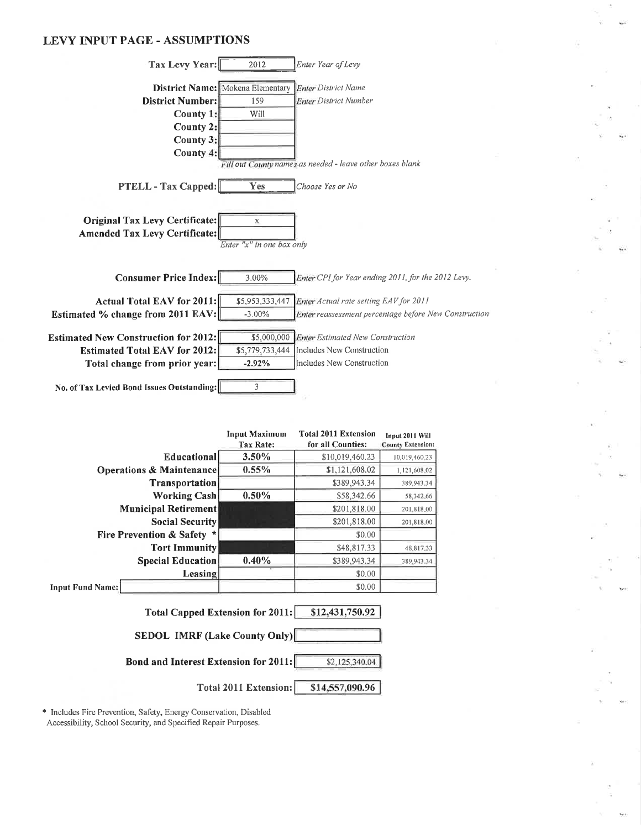#### **LEVY INPUT PAGE - ASSUMPTIONS**

| Tax Levy Year:                              | 2012                                    | Enter Year of Levy                                        |
|---------------------------------------------|-----------------------------------------|-----------------------------------------------------------|
|                                             |                                         |                                                           |
|                                             | <b>District Name:</b> Mokena Elementary | <b>Enter District Name</b>                                |
| District Number:                            | 159                                     | <b>Enter District Number</b>                              |
| County 1:                                   | Will                                    |                                                           |
| County 2:                                   |                                         |                                                           |
| County 3:                                   |                                         |                                                           |
| County 4:                                   |                                         |                                                           |
|                                             |                                         | Fill out County names as needed - leave other boxes blank |
|                                             | Yes                                     | Choose Yes or No                                          |
| <b>PTELL - Tax Capped:</b>                  |                                         |                                                           |
|                                             |                                         |                                                           |
| Original Tax Levy Certificate:              | X                                       |                                                           |
| Amended Tax Levy Certificate:               |                                         |                                                           |
|                                             | Enter "x" in one box only               |                                                           |
|                                             |                                         |                                                           |
| <b>Consumer Price Index:</b>                | 3.00%                                   | Enter CPI for Year ending 2011, for the 2012 Levy.        |
|                                             |                                         |                                                           |
| Actual Total EAV for 2011:                  | \$5,953,333,447                         | Enter Actual rate setting EAV for 2011                    |
| Estimated % change from 2011 EAV:           | $-3.00%$                                | Enter reassessment percentage before New Construction     |
|                                             |                                         |                                                           |
| <b>Estimated New Construction for 2012:</b> |                                         | \$5,000,000 Enter Estimated New Construction              |
| <b>Estimated Total EAV for 2012:</b>        | \$5,779,733,444                         | Includes New Construction                                 |
| Total change from prior year:               | $-2.92%$                                | Includes New Construction                                 |
|                                             |                                         |                                                           |
| No. of Tax Levied Bond Issues Outstanding:  | 3                                       |                                                           |
|                                             |                                         |                                                           |

|                                         | <b>Input Maximum</b>                                    | <b>Total 2011 Extension</b> | Input 2011 Will          |  |  |  |  |  |  |
|-----------------------------------------|---------------------------------------------------------|-----------------------------|--------------------------|--|--|--|--|--|--|
|                                         | Tax Rate:                                               | for all Counties:           | <b>County Extension:</b> |  |  |  |  |  |  |
| Educational                             | $3.50\%$                                                | \$10,019,460.23             | 10,019,460.23            |  |  |  |  |  |  |
| <b>Operations &amp; Maintenance</b>     | 0.55%                                                   | \$1,121,608.02              | 1,121,608.02             |  |  |  |  |  |  |
| <b>Transportation</b>                   |                                                         | \$389,943.34                | 389,943,34               |  |  |  |  |  |  |
| <b>Working Cash</b>                     | $0.50\%$                                                | \$58,342.66                 | 58,342.66                |  |  |  |  |  |  |
| <b>Municipal Retirement</b>             |                                                         | \$201,818.00                | 201,818.00               |  |  |  |  |  |  |
| <b>Social Security</b>                  |                                                         | \$201,818.00                | 201,818.00               |  |  |  |  |  |  |
| <b>Fire Prevention &amp; Safety *</b>   |                                                         | \$0.00                      |                          |  |  |  |  |  |  |
| <b>Tort Immunity</b>                    |                                                         | \$48,817.33                 | 48,817.33                |  |  |  |  |  |  |
| <b>Special Education</b>                | 0.40%                                                   | \$389,943.34                | 389,943.34               |  |  |  |  |  |  |
| Leasing                                 |                                                         | \$0.00                      |                          |  |  |  |  |  |  |
| <b>Input Fund Name:</b>                 |                                                         | \$0.00                      |                          |  |  |  |  |  |  |
| <b>Total Capped Extension for 2011:</b> |                                                         | \$12,431,750.92             |                          |  |  |  |  |  |  |
| <b>SEDOL IMRF (Lake County Only)</b>    |                                                         |                             |                          |  |  |  |  |  |  |
|                                         | Bond and Interest Extension for 2011:<br>\$2,125,340.04 |                             |                          |  |  |  |  |  |  |
|                                         | Total 2011 Extension:                                   | \$14,557,090.96             |                          |  |  |  |  |  |  |

\* Includes Fire Prevention, Safety, Energy Conservation, Disabled<br>Accessibility, School Security, and Specified Repair Purposes.